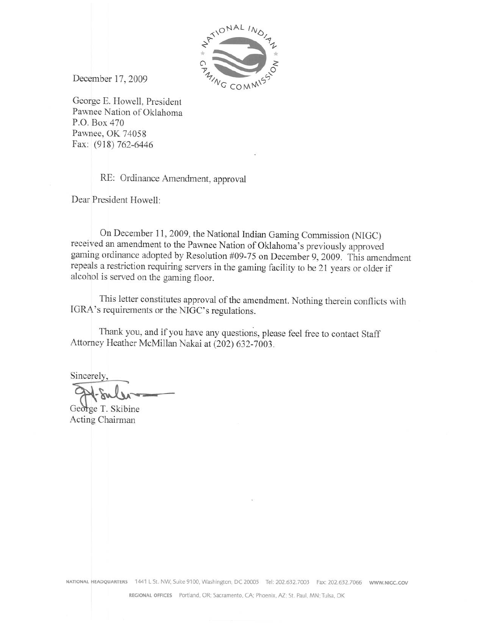

December 17, 2009

George E. Howell, President Pawnee Nation of Oklahoma P.O. Box 470 Pawnee, OK 74058 Fax: (918) 762-6446

RE: Ordinance Amendment, approval

Dear President Howell:

On December 11, 2009, the National Indian Gaming Commission (NIGC) received an amendment to the Pawnee Nation of Oklahoma's previously approved gaming ordinance adopted by Resolution #09-75 on December 9, 2009. This amendment repeals a restriction requiring servers in the gaming facility to be 21 years or older if alcohol is served on the gaming floor.

This letter constitutes approval of the amendment. Nothing therein conflicts with IGRA's requirements or the NIGC's regulations.

Thank you, and if you have any questions, please feel free to contact Staff Attorney Heather McMillan Nakai at (202) 632-7003.

Sincerely,

George T. Skibine Acting Chairman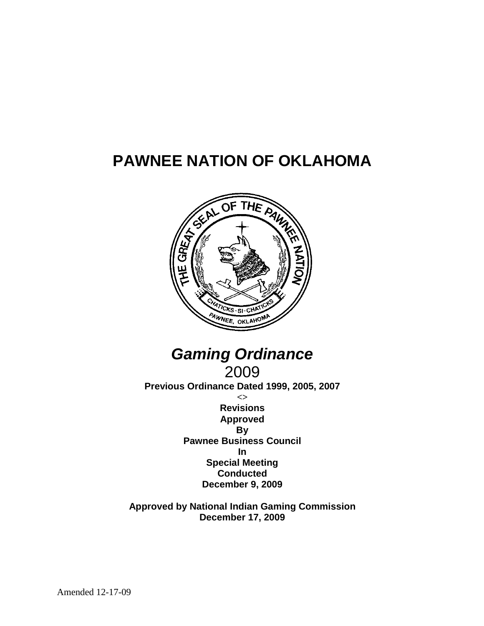# **PAWNEE NATION OF OKLAHOMA**





**Approved by National Indian Gaming Commission December 17, 2009**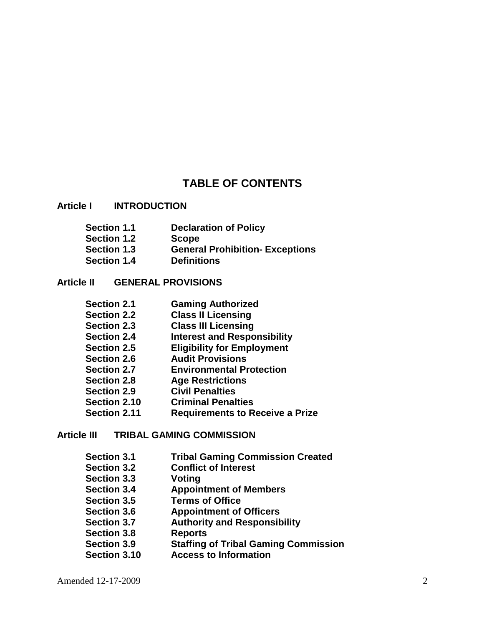# **TABLE OF CONTENTS**

#### **Article I INTRODUCTION**

| <b>Section 1.1</b> | <b>Declaration of Policy</b>           |
|--------------------|----------------------------------------|
| <b>Section 1.2</b> | <b>Scope</b>                           |
| <b>Section 1.3</b> | <b>General Prohibition- Exceptions</b> |
| <b>Section 1.4</b> | <b>Definitions</b>                     |

#### **Article II GENERAL PROVISIONS**

| <b>Section 2.1</b>  | <b>Gaming Authorized</b>               |
|---------------------|----------------------------------------|
| <b>Section 2.2</b>  | <b>Class II Licensing</b>              |
| <b>Section 2.3</b>  | <b>Class III Licensing</b>             |
| <b>Section 2.4</b>  | <b>Interest and Responsibility</b>     |
| <b>Section 2.5</b>  | <b>Eligibility for Employment</b>      |
| <b>Section 2.6</b>  | <b>Audit Provisions</b>                |
| <b>Section 2.7</b>  | <b>Environmental Protection</b>        |
| <b>Section 2.8</b>  | <b>Age Restrictions</b>                |
| <b>Section 2.9</b>  | <b>Civil Penalties</b>                 |
| <b>Section 2.10</b> | <b>Criminal Penalties</b>              |
| <b>Section 2.11</b> | <b>Requirements to Receive a Prize</b> |
|                     |                                        |

#### **Article III TRIBAL GAMING COMMISSION**

- **Section 3.1 Tribal Gaming Commission Created**
- **Seconflict of Interest**<br>Voting
- **Section 3.3**<br>**Section 3.4**
- **Section 3.4 Appointment of Members**
- **Section 3.5 Terms of Office**
- **Section 3.6 Appointment of Officers**
- **Section 3.7 Authority and Responsibility**
- **Section 3.8 Reports**
- **Section 3.9 Staffing of Tribal Gaming Commission**
- **Access to Information**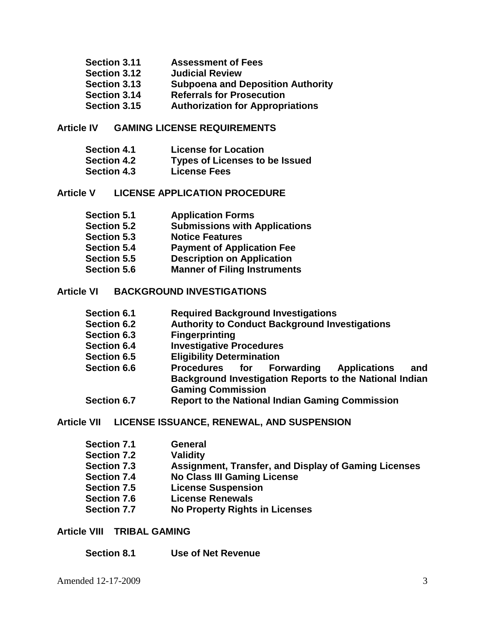- **Section 3.11 Assessment of Fees**
- **Section 3.12 Judicial Review**
- **Section 3.13 Subpoena and Deposition Authority**
- **Section 3.14 Referrals for Prosecution**
- **Authorization for Appropriations**

# **Article IV GAMING LICENSE REQUIREMENTS**

- **Section 4.1 License for Location**
- **Section 4.2 Types of Licenses to be Issued**
- **License Fees**

#### **Article V LICENSE APPLICATION PROCEDURE**

| <b>Section 5.1</b> | <b>Application Forms</b>             |
|--------------------|--------------------------------------|
| <b>Section 5.2</b> | <b>Submissions with Applications</b> |
| <b>Section 5.3</b> | <b>Notice Features</b>               |
| <b>Section 5.4</b> | <b>Payment of Application Fee</b>    |
| <b>Section 5.5</b> | <b>Description on Application</b>    |
| <b>Section 5.6</b> | <b>Manner of Filing Instruments</b>  |

#### **Article VI BACKGROUND INVESTIGATIONS**

- **Section 6.1 Required Background Investigations**
- **Section 6.2 Authority to Conduct Background Investigations**
- **Section 6.3 Fingerprinting**
- **Section 6.4 Investigative Procedures**
- **Eligibility Determination**<br>**Procedures** for For
- **Section 6.6 Procedures for Forwarding Applications and Background Investigation Reports to the National Indian Gaming Commission**
- **Section 6.7 Report to the National Indian Gaming Commission**

#### **Article VII LICENSE ISSUANCE, RENEWAL, AND SUSPENSION**

| <b>Section 7.1</b> | <b>General</b>                                              |
|--------------------|-------------------------------------------------------------|
| <b>Section 7.2</b> | <b>Validity</b>                                             |
| <b>Section 7.3</b> | <b>Assignment, Transfer, and Display of Gaming Licenses</b> |
| <b>Section 7.4</b> | <b>No Class III Gaming License</b>                          |
| <b>Section 7.5</b> | <b>License Suspension</b>                                   |
| <b>Section 7.6</b> | <b>License Renewals</b>                                     |
| <b>Section 7.7</b> | <b>No Property Rights in Licenses</b>                       |

#### **Article VIII TRIBAL GAMING**

| <b>Section 8.1</b> | Use of Net Revenue |
|--------------------|--------------------|
|                    |                    |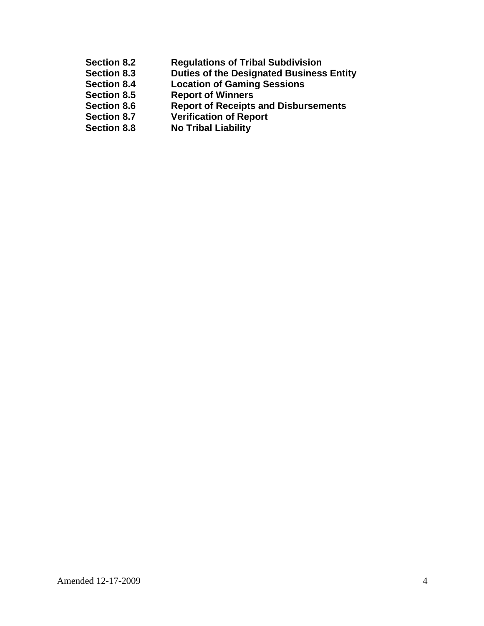- **Section 8.2 Regulations of Tribal Subdivision**
- **Section 8.3 Duties of the Designated Business Entity**
- **Location of Gaming Sessions**
- **Section 8.5 Report of Winners**<br> **Section 8.6 Report of Receipts**
- **Section 8.6 Report of Receipts and Disbursements**
- **Section 8.7 Verification of Report**
- **Section 8.8 No Tribal Liability**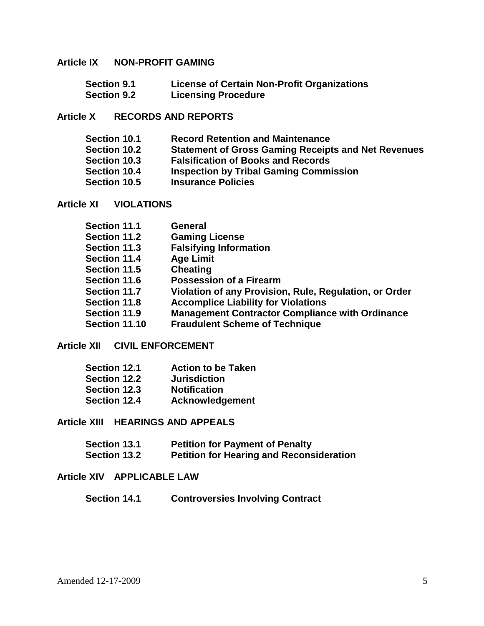# **Article IX NON-PROFIT GAMING**

| <b>Section 9.1</b> | <b>License of Certain Non-Profit Organizations</b> |
|--------------------|----------------------------------------------------|
| <b>Section 9.2</b> | <b>Licensing Procedure</b>                         |

# **Article X RECORDS AND REPORTS**

| <b>Section 10.1</b> | <b>Record Retention and Maintenance</b>                    |
|---------------------|------------------------------------------------------------|
| <b>Section 10.2</b> | <b>Statement of Gross Gaming Receipts and Net Revenues</b> |
| <b>Section 10.3</b> | <b>Falsification of Books and Records</b>                  |
| Section 10.4        | <b>Inspection by Tribal Gaming Commission</b>              |
| Section 10.5        | <b>Insurance Policies</b>                                  |

# **Article XI VIOLATIONS**

| Section 11.1        | <b>General</b>                                         |
|---------------------|--------------------------------------------------------|
| Section 11.2        | <b>Gaming License</b>                                  |
| Section 11.3        | <b>Falsifying Information</b>                          |
| Section 11.4        | <b>Age Limit</b>                                       |
| Section 11.5        | <b>Cheating</b>                                        |
| <b>Section 11.6</b> | <b>Possession of a Firearm</b>                         |
| Section 11.7        | Violation of any Provision, Rule, Regulation, or Order |
| <b>Section 11.8</b> | <b>Accomplice Liability for Violations</b>             |
| <b>Section 11.9</b> | <b>Management Contractor Compliance with Ordinance</b> |
| Section 11.10       | <b>Fraudulent Scheme of Technique</b>                  |

#### **Article XII CIVIL ENFORCEMENT**

| Section 12.1        | <b>Action to be Taken</b> |
|---------------------|---------------------------|
| Section 12.2        | <b>Jurisdiction</b>       |
| <b>Section 12.3</b> | <b>Notification</b>       |
| Section 12.4        | <b>Acknowledgement</b>    |

#### **Article XIII HEARINGS AND APPEALS**

| <b>Section 13.1</b> | <b>Petition for Payment of Penalty</b>          |
|---------------------|-------------------------------------------------|
| <b>Section 13.2</b> | <b>Petition for Hearing and Reconsideration</b> |

#### **Article XIV APPLICABLE LAW**

**Section 14.1 Controversies Involving Contract**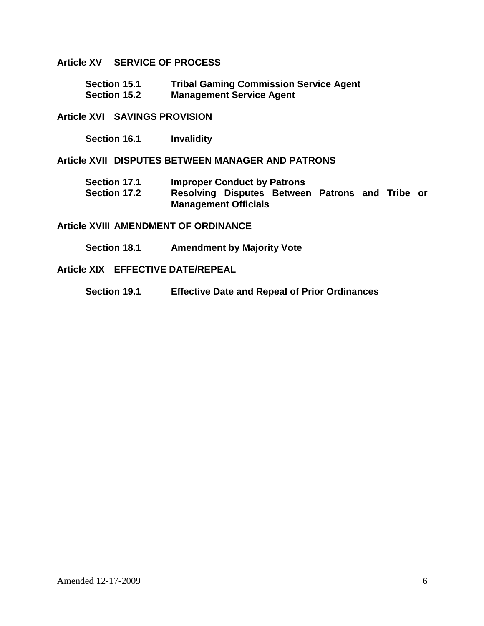# **Article XV SERVICE OF PROCESS**

| <b>Section 15.1</b> | <b>Tribal Gaming Commission Service Agent</b> |
|---------------------|-----------------------------------------------|
| Section 15.2        | <b>Management Service Agent</b>               |

#### **Article XVI SAVINGS PROVISION**

| Section 16.1 | <b>Invalidity</b> |
|--------------|-------------------|
|--------------|-------------------|

#### **Article XVII DISPUTES BETWEEN MANAGER AND PATRONS**

| Section 17.1 | <b>Improper Conduct by Patrons</b>              |  |  |  |  |  |  |
|--------------|-------------------------------------------------|--|--|--|--|--|--|
| Section 17.2 | Resolving Disputes Between Patrons and Tribe or |  |  |  |  |  |  |
|              | <b>Management Officials</b>                     |  |  |  |  |  |  |

#### **Article XVIII AMENDMENT OF ORDINANCE**

**Section 18.1 Amendment by Majority Vote**

#### **Article XIX EFFECTIVE DATE/REPEAL**

**Section 19.1 Effective Date and Repeal of Prior Ordinances**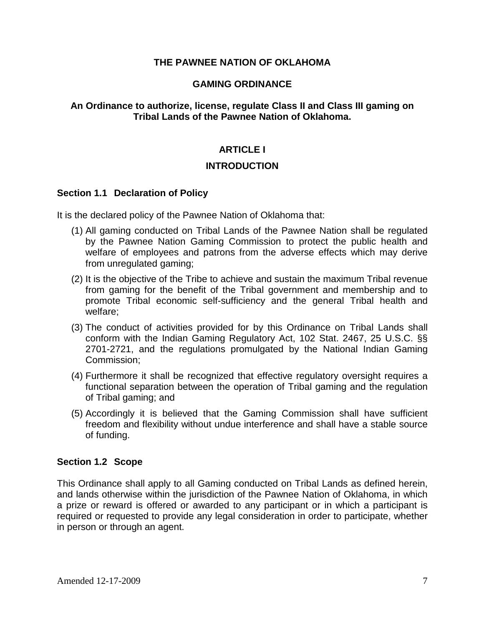#### **THE PAWNEE NATION OF OKLAHOMA**

# **GAMING ORDINANCE**

# **An Ordinance to authorize, license, regulate Class II and Class III gaming on Tribal Lands of the Pawnee Nation of Oklahoma.**

# **ARTICLE I**

# **INTRODUCTION**

#### **Section 1.1 Declaration of Policy**

It is the declared policy of the Pawnee Nation of Oklahoma that:

- (1) All gaming conducted on Tribal Lands of the Pawnee Nation shall be regulated by the Pawnee Nation Gaming Commission to protect the public health and welfare of employees and patrons from the adverse effects which may derive from unregulated gaming;
- (2) It is the objective of the Tribe to achieve and sustain the maximum Tribal revenue from gaming for the benefit of the Tribal government and membership and to promote Tribal economic self-sufficiency and the general Tribal health and welfare;
- (3) The conduct of activities provided for by this Ordinance on Tribal Lands shall conform with the Indian Gaming Regulatory Act, 102 Stat. 2467, 25 U.S.C. §§ 2701-2721, and the regulations promulgated by the National Indian Gaming Commission;
- (4) Furthermore it shall be recognized that effective regulatory oversight requires a functional separation between the operation of Tribal gaming and the regulation of Tribal gaming; and
- (5) Accordingly it is believed that the Gaming Commission shall have sufficient freedom and flexibility without undue interference and shall have a stable source of funding.

#### **Section 1.2 Scope**

This Ordinance shall apply to all Gaming conducted on Tribal Lands as defined herein, and lands otherwise within the jurisdiction of the Pawnee Nation of Oklahoma, in which a prize or reward is offered or awarded to any participant or in which a participant is required or requested to provide any legal consideration in order to participate, whether in person or through an agent.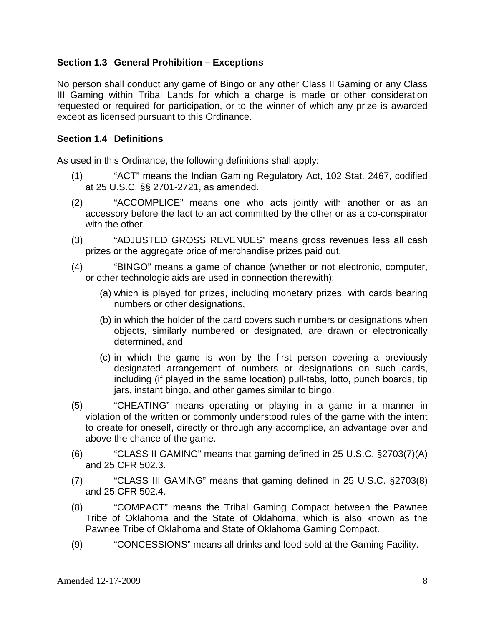# **Section 1.3 General Prohibition – Exceptions**

No person shall conduct any game of Bingo or any other Class II Gaming or any Class III Gaming within Tribal Lands for which a charge is made or other consideration requested or required for participation, or to the winner of which any prize is awarded except as licensed pursuant to this Ordinance.

#### **Section 1.4 Definitions**

As used in this Ordinance, the following definitions shall apply:

- (1) "ACT" means the Indian Gaming Regulatory Act, 102 Stat. 2467, codified at 25 U.S.C. §§ 2701-2721, as amended.
- (2) "ACCOMPLICE" means one who acts jointly with another or as an accessory before the fact to an act committed by the other or as a co-conspirator with the other.
- (3) "ADJUSTED GROSS REVENUES" means gross revenues less all cash prizes or the aggregate price of merchandise prizes paid out.
- (4) "BINGO" means a game of chance (whether or not electronic, computer, or other technologic aids are used in connection therewith):
	- (a) which is played for prizes, including monetary prizes, with cards bearing numbers or other designations,
	- (b) in which the holder of the card covers such numbers or designations when objects, similarly numbered or designated, are drawn or electronically determined, and
	- (c) in which the game is won by the first person covering a previously designated arrangement of numbers or designations on such cards, including (if played in the same location) pull-tabs, lotto, punch boards, tip jars, instant bingo, and other games similar to bingo.
- (5) "CHEATING" means operating or playing in a game in a manner in violation of the written or commonly understood rules of the game with the intent to create for oneself, directly or through any accomplice, an advantage over and above the chance of the game.
- (6) "CLASS II GAMING" means that gaming defined in 25 U.S.C. §2703(7)(A) and 25 CFR 502.3.
- (7) "CLASS III GAMING" means that gaming defined in 25 U.S.C. §2703(8) and 25 CFR 502.4.
- (8) "COMPACT" means the Tribal Gaming Compact between the Pawnee Tribe of Oklahoma and the State of Oklahoma, which is also known as the Pawnee Tribe of Oklahoma and State of Oklahoma Gaming Compact.
- (9) "CONCESSIONS" means all drinks and food sold at the Gaming Facility.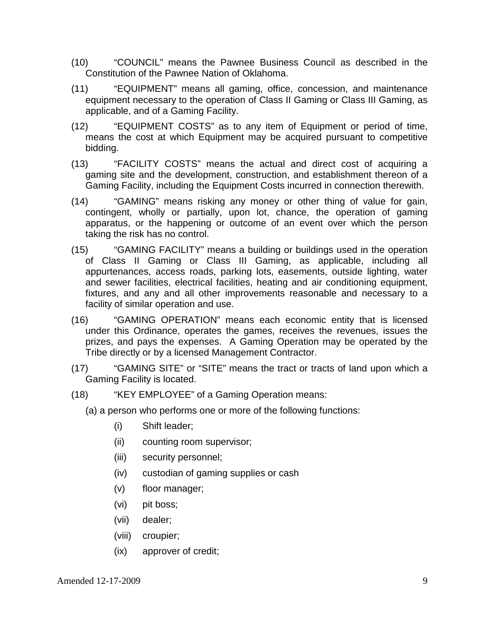- (10) "COUNCIL" means the Pawnee Business Council as described in the Constitution of the Pawnee Nation of Oklahoma.
- (11) "EQUIPMENT" means all gaming, office, concession, and maintenance equipment necessary to the operation of Class II Gaming or Class III Gaming, as applicable, and of a Gaming Facility.
- (12) "EQUIPMENT COSTS" as to any item of Equipment or period of time, means the cost at which Equipment may be acquired pursuant to competitive bidding.
- (13) "FACILITY COSTS" means the actual and direct cost of acquiring a gaming site and the development, construction, and establishment thereon of a Gaming Facility, including the Equipment Costs incurred in connection therewith.
- (14) "GAMING" means risking any money or other thing of value for gain, contingent, wholly or partially, upon lot, chance, the operation of gaming apparatus, or the happening or outcome of an event over which the person taking the risk has no control.
- (15) "GAMING FACILITY" means a building or buildings used in the operation of Class II Gaming or Class III Gaming, as applicable, including all appurtenances, access roads, parking lots, easements, outside lighting, water and sewer facilities, electrical facilities, heating and air conditioning equipment, fixtures, and any and all other improvements reasonable and necessary to a facility of similar operation and use.
- (16) "GAMING OPERATION" means each economic entity that is licensed under this Ordinance, operates the games, receives the revenues, issues the prizes, and pays the expenses. A Gaming Operation may be operated by the Tribe directly or by a licensed Management Contractor.
- (17) "GAMING SITE" or "SITE" means the tract or tracts of land upon which a Gaming Facility is located.
- (18) "KEY EMPLOYEE" of a Gaming Operation means:
	- (a) a person who performs one or more of the following functions:
		- (i) Shift leader;
		- (ii) counting room supervisor;
		- (iii) security personnel;
		- (iv) custodian of gaming supplies or cash
		- (v) floor manager;
		- (vi) pit boss;
		- (vii) dealer;
		- (viii) croupier;
		- (ix) approver of credit;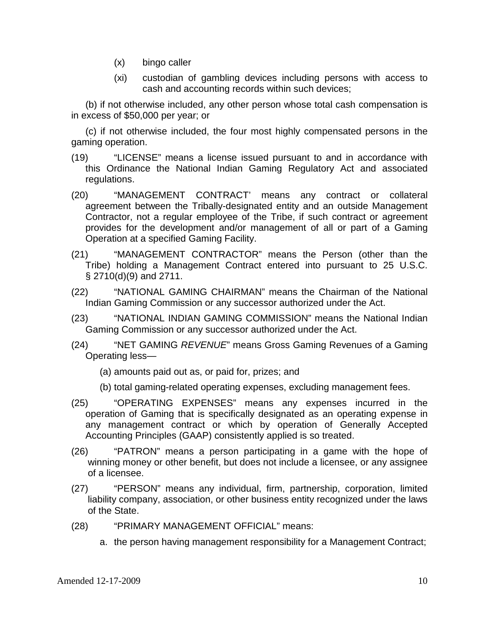- (x) bingo caller
- (xi) custodian of gambling devices including persons with access to cash and accounting records within such devices;

(b) if not otherwise included, any other person whose total cash compensation is in excess of \$50,000 per year; or

(c) if not otherwise included, the four most highly compensated persons in the gaming operation.

- (19) "LICENSE" means a license issued pursuant to and in accordance with this Ordinance the National Indian Gaming Regulatory Act and associated regulations.
- (20) "MANAGEMENT CONTRACT' means any contract or collateral agreement between the Tribally-designated entity and an outside Management Contractor, not a regular employee of the Tribe, if such contract or agreement provides for the development and/or management of all or part of a Gaming Operation at a specified Gaming Facility.
- (21) "MANAGEMENT CONTRACTOR" means the Person (other than the Tribe) holding a Management Contract entered into pursuant to 25 U.S.C. § 2710(d)(9) and 2711.
- (22) "NATIONAL GAMING CHAIRMAN" means the Chairman of the National Indian Gaming Commission or any successor authorized under the Act.
- (23) "NATIONAL INDIAN GAMING COMMISSION" means the National Indian Gaming Commission or any successor authorized under the Act.
- (24) "NET GAMING *REVENUE*" means Gross Gaming Revenues of a Gaming Operating less—
	- (a) amounts paid out as, or paid for, prizes; and
	- (b) total gaming-related operating expenses, excluding management fees.
- (25) "OPERATING EXPENSES" means any expenses incurred in the operation of Gaming that is specifically designated as an operating expense in any management contract or which by operation of Generally Accepted Accounting Principles (GAAP) consistently applied is so treated.
- (26) "PATRON" means a person participating in a game with the hope of winning money or other benefit, but does not include a licensee, or any assignee of a licensee.
- (27) "PERSON" means any individual, firm, partnership, corporation, limited liability company, association, or other business entity recognized under the laws of the State.
- (28) "PRIMARY MANAGEMENT OFFICIAL" means:
	- a. the person having management responsibility for a Management Contract;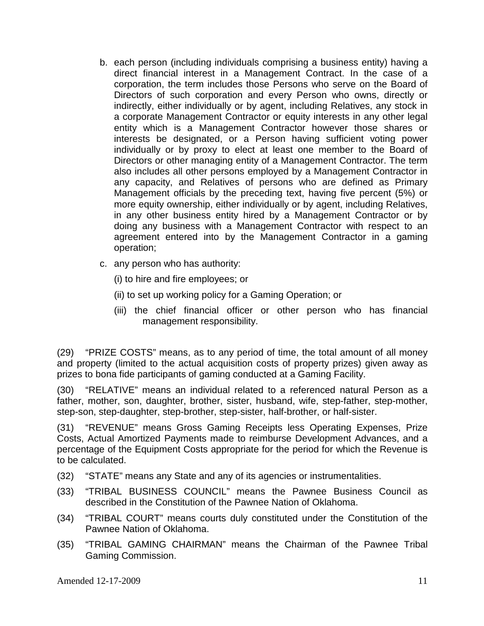- b. each person (including individuals comprising a business entity) having a direct financial interest in a Management Contract. In the case of a corporation, the term includes those Persons who serve on the Board of Directors of such corporation and every Person who owns, directly or indirectly, either individually or by agent, including Relatives, any stock in a corporate Management Contractor or equity interests in any other legal entity which is a Management Contractor however those shares or interests be designated, or a Person having sufficient voting power individually or by proxy to elect at least one member to the Board of Directors or other managing entity of a Management Contractor. The term also includes all other persons employed by a Management Contractor in any capacity, and Relatives of persons who are defined as Primary Management officials by the preceding text, having five percent (5%) or more equity ownership, either individually or by agent, including Relatives, in any other business entity hired by a Management Contractor or by doing any business with a Management Contractor with respect to an agreement entered into by the Management Contractor in a gaming operation;
- c. any person who has authority:

(i) to hire and fire employees; or

- (ii) to set up working policy for a Gaming Operation; or
- (iii) the chief financial officer or other person who has financial management responsibility.

(29) "PRIZE COSTS" means, as to any period of time, the total amount of all money and property (limited to the actual acquisition costs of property prizes) given away as prizes to bona fide participants of gaming conducted at a Gaming Facility.

(30) "RELATIVE" means an individual related to a referenced natural Person as a father, mother, son, daughter, brother, sister, husband, wife, step-father, step-mother, step-son, step-daughter, step-brother, step-sister, half-brother, or half-sister.

(31) "REVENUE" means Gross Gaming Receipts less Operating Expenses, Prize Costs, Actual Amortized Payments made to reimburse Development Advances, and a percentage of the Equipment Costs appropriate for the period for which the Revenue is to be calculated.

- (32) "STATE" means any State and any of its agencies or instrumentalities.
- (33) "TRIBAL BUSINESS COUNCIL" means the Pawnee Business Council as described in the Constitution of the Pawnee Nation of Oklahoma.
- (34) "TRIBAL COURT" means courts duly constituted under the Constitution of the Pawnee Nation of Oklahoma.
- (35) "TRIBAL GAMING CHAIRMAN" means the Chairman of the Pawnee Tribal Gaming Commission.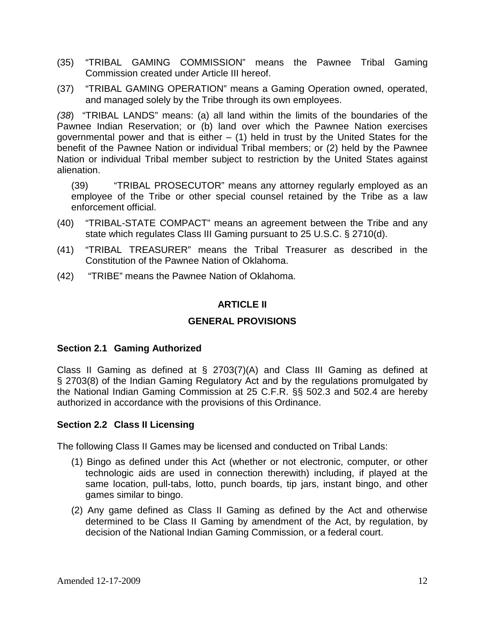- (35) "TRIBAL GAMING COMMISSION" means the Pawnee Tribal Gaming Commission created under Article III hereof.
- (37) "TRIBAL GAMING OPERATION" means a Gaming Operation owned, operated, and managed solely by the Tribe through its own employees.

*(38*) "TRIBAL LANDS" means: (a) all land within the limits of the boundaries of the Pawnee Indian Reservation; or (b) land over which the Pawnee Nation exercises governmental power and that is either  $-$  (1) held in trust by the United States for the benefit of the Pawnee Nation or individual Tribal members; or (2) held by the Pawnee Nation or individual Tribal member subject to restriction by the United States against alienation.

(39) "TRIBAL PROSECUTOR" means any attorney regularly employed as an employee of the Tribe or other special counsel retained by the Tribe as a law enforcement official.

- (40) "TRIBAL-STATE COMPACT" means an agreement between the Tribe and any state which regulates Class III Gaming pursuant to 25 U.S.C. § 2710(d).
- (41) "TRIBAL TREASURER" means the Tribal Treasurer as described in the Constitution of the Pawnee Nation of Oklahoma.
- (42) "TRIBE" means the Pawnee Nation of Oklahoma.

# **ARTICLE II**

#### **GENERAL PROVISIONS**

#### **Section 2.1 Gaming Authorized**

Class II Gaming as defined at § 2703(7)(A) and Class III Gaming as defined at § 2703(8) of the Indian Gaming Regulatory Act and by the regulations promulgated by the National Indian Gaming Commission at 25 C.F.R. §§ 502.3 and 502.4 are hereby authorized in accordance with the provisions of this Ordinance.

#### **Section 2.2 Class II Licensing**

The following Class II Games may be licensed and conducted on Tribal Lands:

- (1) Bingo as defined under this Act (whether or not electronic, computer, or other technologic aids are used in connection therewith) including, if played at the same location, pull-tabs, lotto, punch boards, tip jars, instant bingo, and other games similar to bingo.
- (2) Any game defined as Class II Gaming as defined by the Act and otherwise determined to be Class II Gaming by amendment of the Act, by regulation, by decision of the National Indian Gaming Commission, or a federal court.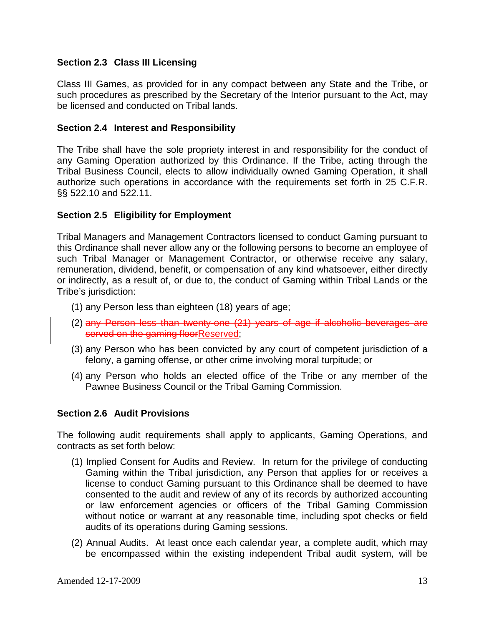# **Section 2.3 Class III Licensing**

Class III Games, as provided for in any compact between any State and the Tribe, or such procedures as prescribed by the Secretary of the Interior pursuant to the Act, may be licensed and conducted on Tribal lands.

#### **Section 2.4 Interest and Responsibility**

The Tribe shall have the sole propriety interest in and responsibility for the conduct of any Gaming Operation authorized by this Ordinance. If the Tribe, acting through the Tribal Business Council, elects to allow individually owned Gaming Operation, it shall authorize such operations in accordance with the requirements set forth in 25 C.F.R. §§ 522.10 and 522.11.

# **Section 2.5 Eligibility for Employment**

Tribal Managers and Management Contractors licensed to conduct Gaming pursuant to this Ordinance shall never allow any or the following persons to become an employee of such Tribal Manager or Management Contractor, or otherwise receive any salary, remuneration, dividend, benefit, or compensation of any kind whatsoever, either directly or indirectly, as a result of, or due to, the conduct of Gaming within Tribal Lands or the Tribe's jurisdiction:

- (1) any Person less than eighteen (18) years of age;
- (2) any Person less than twenty-one (21) years of age if alcoholic beverages are served on the gaming floorReserved;
- (3) any Person who has been convicted by any court of competent jurisdiction of a felony, a gaming offense, or other crime involving moral turpitude; or
- (4) any Person who holds an elected office of the Tribe or any member of the Pawnee Business Council or the Tribal Gaming Commission.

#### **Section 2.6 Audit Provisions**

The following audit requirements shall apply to applicants, Gaming Operations, and contracts as set forth below:

- (1) Implied Consent for Audits and Review. In return for the privilege of conducting Gaming within the Tribal jurisdiction, any Person that applies for or receives a license to conduct Gaming pursuant to this Ordinance shall be deemed to have consented to the audit and review of any of its records by authorized accounting or law enforcement agencies or officers of the Tribal Gaming Commission without notice or warrant at any reasonable time, including spot checks or field audits of its operations during Gaming sessions.
- (2) Annual Audits. At least once each calendar year, a complete audit, which may be encompassed within the existing independent Tribal audit system, will be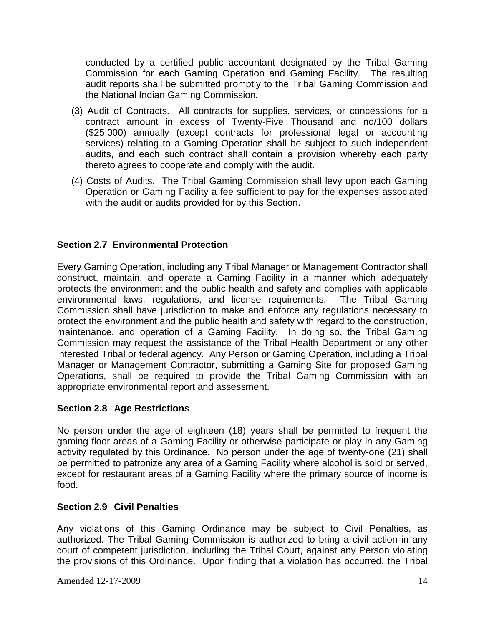conducted by a certified public accountant designated by the Tribal Gaming Commission for each Gaming Operation and Gaming Facility. The resulting audit reports shall be submitted promptly to the Tribal Gaming Commission and the National Indian Gaming Commission*.*

- (3) Audit of Contracts. All contracts for supplies, services, or concessions for a contract amount in excess of Twenty-Five Thousand and no/100 dollars (\$25,000) annually (except contracts for professional legal or accounting services) relating to a Gaming Operation shall be subject to such independent audits, and each such contract shall contain a provision whereby each party thereto agrees to cooperate and comply with the audit.
- (4) Costs of Audits. The Tribal Gaming Commission shall levy upon each Gaming Operation or Gaming Facility a fee sufficient to pay for the expenses associated with the audit or audits provided for by this Section.

# **Section 2.7 Environmental Protection**

Every Gaming Operation, including any Tribal Manager or Management Contractor shall construct, maintain, and operate a Gaming Facility in a manner which adequately protects the environment and the public health and safety and complies with applicable environmental laws, regulations, and license requirements. The Tribal Gaming Commission shall have jurisdiction to make and enforce any regulations necessary to protect the environment and the public health and safety with regard to the construction, maintenance, and operation of a Gaming Facility. In doing so, the Tribal Gaming Commission may request the assistance of the Tribal Health Department or any other interested Tribal or federal agency. Any Person or Gaming Operation, including a Tribal Manager or Management Contractor, submitting a Gaming Site for proposed Gaming Operations, shall be required to provide the Tribal Gaming Commission with an appropriate environmental report and assessment.

#### **Section 2.8 Age Restrictions**

No person under the age of eighteen (18) years shall be permitted to frequent the gaming floor areas of a Gaming Facility or otherwise participate or play in any Gaming activity regulated by this Ordinance. No person under the age of twenty-one (21) shall be permitted to patronize any area of a Gaming Facility where alcohol is sold or served, except for restaurant areas of a Gaming Facility where the primary source of income is food.

#### **Section 2.9 Civil Penalties**

Any violations of this Gaming Ordinance may be subject to Civil Penalties, as authorized. The Tribal Gaming Commission is authorized to bring a civil action in any court of competent jurisdiction, including the Tribal Court, against any Person violating the provisions of this Ordinance. Upon finding that a violation has occurred, the Tribal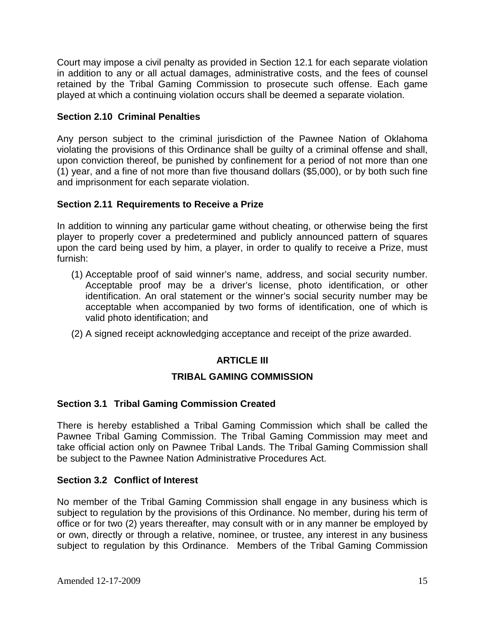Court may impose a civil penalty as provided in Section 12.1 for each separate violation in addition to any or all actual damages, administrative costs, and the fees of counsel retained by the Tribal Gaming Commission to prosecute such offense. Each game played at which a continuing violation occurs shall be deemed a separate violation.

# **Section 2.10 Criminal Penalties**

Any person subject to the criminal jurisdiction of the Pawnee Nation of Oklahoma violating the provisions of this Ordinance shall be guilty of a criminal offense and shall, upon conviction thereof, be punished by confinement for a period of not more than one (1) year, and a fine of not more than five thousand dollars (\$5,000), or by both such fine and imprisonment for each separate violation.

# **Section 2.11 Requirements to Receive a Prize**

In addition to winning any particular game without cheating, or otherwise being the first player to properly cover a predetermined and publicly announced pattern of squares upon the card being used by him, a player, in order to qualify to receive a Prize, must furnish:

- (1) Acceptable proof of said winner's name, address, and social security number. Acceptable proof may be a driver's license, photo identification, or other identification. An oral statement or the winner's social security number may be acceptable when accompanied by two forms of identification, one of which is valid photo identification; and
- (2) A signed receipt acknowledging acceptance and receipt of the prize awarded.

# **ARTICLE III**

# **TRIBAL GAMING COMMISSION**

# **Section 3.1 Tribal Gaming Commission Created**

There is hereby established a Tribal Gaming Commission which shall be called the Pawnee Tribal Gaming Commission. The Tribal Gaming Commission may meet and take official action only on Pawnee Tribal Lands. The Tribal Gaming Commission shall be subject to the Pawnee Nation Administrative Procedures Act.

# **Section 3.2 Conflict of Interest**

No member of the Tribal Gaming Commission shall engage in any business which is subject to regulation by the provisions of this Ordinance. No member, during his term of office or for two (2) years thereafter, may consult with or in any manner be employed by or own, directly or through a relative, nominee, or trustee, any interest in any business subject to regulation by this Ordinance. Members of the Tribal Gaming Commission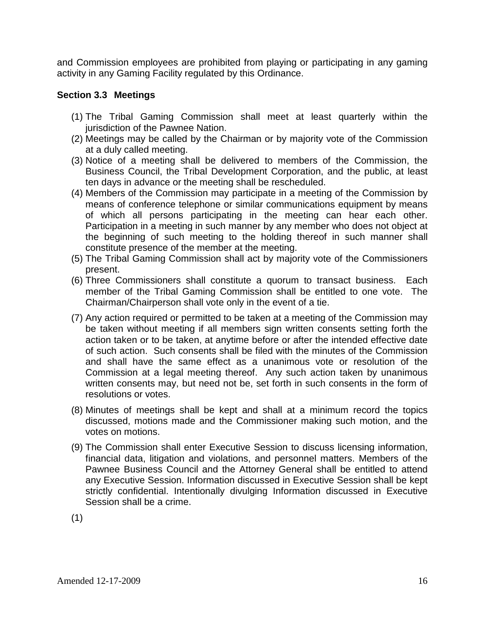and Commission employees are prohibited from playing or participating in any gaming activity in any Gaming Facility regulated by this Ordinance.

# **Section 3.3 Meetings**

- (1) The Tribal Gaming Commission shall meet at least quarterly within the jurisdiction of the Pawnee Nation.
- (2) Meetings may be called by the Chairman or by majority vote of the Commission at a duly called meeting.
- (3) Notice of a meeting shall be delivered to members of the Commission, the Business Council, the Tribal Development Corporation, and the public, at least ten days in advance or the meeting shall be rescheduled.
- (4) Members of the Commission may participate in a meeting of the Commission by means of conference telephone or similar communications equipment by means of which all persons participating in the meeting can hear each other. Participation in a meeting in such manner by any member who does not object at the beginning of such meeting to the holding thereof in such manner shall constitute presence of the member at the meeting.
- (5) The Tribal Gaming Commission shall act by majority vote of the Commissioners present.
- (6) Three Commissioners shall constitute a quorum to transact business. Each member of the Tribal Gaming Commission shall be entitled to one vote. The Chairman/Chairperson shall vote only in the event of a tie.
- (7) Any action required or permitted to be taken at a meeting of the Commission may be taken without meeting if all members sign written consents setting forth the action taken or to be taken, at anytime before or after the intended effective date of such action. Such consents shall be filed with the minutes of the Commission and shall have the same effect as a unanimous vote or resolution of the Commission at a legal meeting thereof. Any such action taken by unanimous written consents may, but need not be, set forth in such consents in the form of resolutions or votes.
- (8) Minutes of meetings shall be kept and shall at a minimum record the topics discussed, motions made and the Commissioner making such motion, and the votes on motions.
- (9) The Commission shall enter Executive Session to discuss licensing information, financial data, litigation and violations, and personnel matters. Members of the Pawnee Business Council and the Attorney General shall be entitled to attend any Executive Session. Information discussed in Executive Session shall be kept strictly confidential. Intentionally divulging Information discussed in Executive Session shall be a crime.
- (1)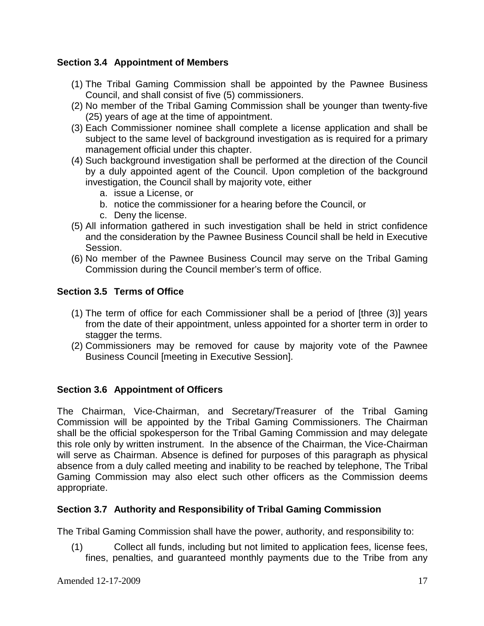# **Section 3.4 Appointment of Members**

- (1) The Tribal Gaming Commission shall be appointed by the Pawnee Business Council, and shall consist of five (5) commissioners.
- (2) No member of the Tribal Gaming Commission shall be younger than twenty-five (25) years of age at the time of appointment.
- (3) Each Commissioner nominee shall complete a license application and shall be subject to the same level of background investigation as is required for a primary management official under this chapter.
- (4) Such background investigation shall be performed at the direction of the Council by a duly appointed agent of the Council. Upon completion of the background investigation, the Council shall by majority vote, either
	- a. issue a License, or
	- b. notice the commissioner for a hearing before the Council, or
	- c. Deny the license.
- (5) All information gathered in such investigation shall be held in strict confidence and the consideration by the Pawnee Business Council shall be held in Executive Session.
- (6) No member of the Pawnee Business Council may serve on the Tribal Gaming Commission during the Council member's term of office.

# **Section 3.5 Terms of Office**

- (1) The term of office for each Commissioner shall be a period of [three (3)] years from the date of their appointment, unless appointed for a shorter term in order to stagger the terms.
- (2) Commissioners may be removed for cause by majority vote of the Pawnee Business Council [meeting in Executive Session].

# **Section 3.6 Appointment of Officers**

The Chairman, Vice-Chairman, and Secretary/Treasurer of the Tribal Gaming Commission will be appointed by the Tribal Gaming Commissioners. The Chairman shall be the official spokesperson for the Tribal Gaming Commission and may delegate this role only by written instrument. In the absence of the Chairman, the Vice-Chairman will serve as Chairman. Absence is defined for purposes of this paragraph as physical absence from a duly called meeting and inability to be reached by telephone, The Tribal Gaming Commission may also elect such other officers as the Commission deems appropriate.

# **Section 3.7 Authority and Responsibility of Tribal Gaming Commission**

The Tribal Gaming Commission shall have the power, authority, and responsibility to:

(1) Collect all funds, including but not limited to application fees, license fees, fines, penalties, and guaranteed monthly payments due to the Tribe from any

Amended 12-17-2009 17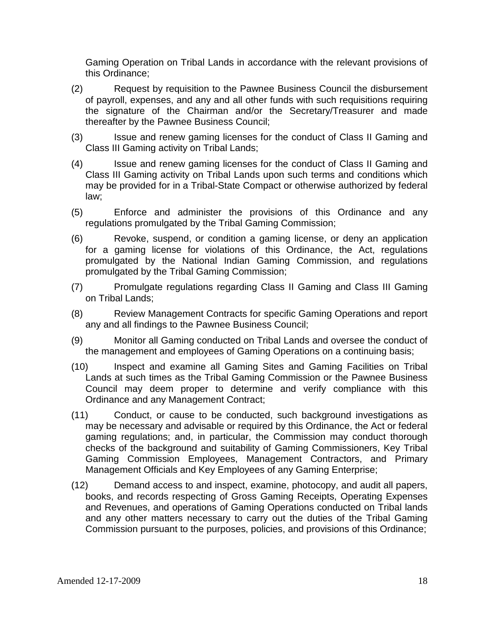Gaming Operation on Tribal Lands in accordance with the relevant provisions of this Ordinance;

- (2) Request by requisition to the Pawnee Business Council the disbursement of payroll, expenses, and any and all other funds with such requisitions requiring the signature of the Chairman and/or the Secretary/Treasurer and made thereafter by the Pawnee Business Council;
- (3) Issue and renew gaming licenses for the conduct of Class II Gaming and Class III Gaming activity on Tribal Lands;
- (4) Issue and renew gaming licenses for the conduct of Class II Gaming and Class III Gaming activity on Tribal Lands upon such terms and conditions which may be provided for in a Tribal-State Compact or otherwise authorized by federal law;
- (5) Enforce and administer the provisions of this Ordinance and any regulations promulgated by the Tribal Gaming Commission;
- (6) Revoke, suspend, or condition a gaming license, or deny an application for a gaming license for violations of this Ordinance, the Act, regulations promulgated by the National Indian Gaming Commission, and regulations promulgated by the Tribal Gaming Commission;
- (7) Promulgate regulations regarding Class II Gaming and Class III Gaming on Tribal Lands;
- (8) Review Management Contracts for specific Gaming Operations and report any and all findings to the Pawnee Business Council;
- (9) Monitor all Gaming conducted on Tribal Lands and oversee the conduct of the management and employees of Gaming Operations on a continuing basis;
- (10) Inspect and examine all Gaming Sites and Gaming Facilities on Tribal Lands at such times as the Tribal Gaming Commission or the Pawnee Business Council may deem proper to determine and verify compliance with this Ordinance and any Management Contract;
- (11) Conduct, or cause to be conducted, such background investigations as may be necessary and advisable or required by this Ordinance, the Act or federal gaming regulations; and, in particular, the Commission may conduct thorough checks of the background and suitability of Gaming Commissioners, Key Tribal Gaming Commission Employees, Management Contractors, and Primary Management Officials and Key Employees of any Gaming Enterprise;
- (12) Demand access to and inspect, examine, photocopy, and audit all papers, books, and records respecting of Gross Gaming Receipts, Operating Expenses and Revenues, and operations of Gaming Operations conducted on Tribal lands and any other matters necessary to carry out the duties of the Tribal Gaming Commission pursuant to the purposes, policies, and provisions of this Ordinance;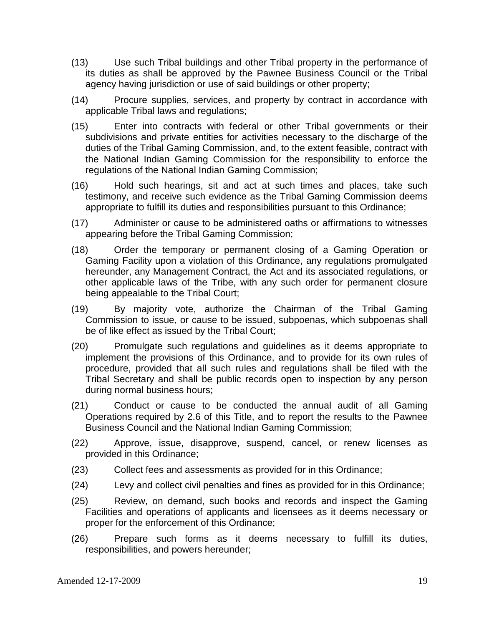- (13) Use such Tribal buildings and other Tribal property in the performance of its duties as shall be approved by the Pawnee Business Council or the Tribal agency having jurisdiction or use of said buildings or other property;
- (14) Procure supplies, services, and property by contract in accordance with applicable Tribal laws and regulations;
- (15) Enter into contracts with federal or other Tribal governments or their subdivisions and private entities for activities necessary to the discharge of the duties of the Tribal Gaming Commission, and, to the extent feasible, contract with the National Indian Gaming Commission for the responsibility to enforce the regulations of the National Indian Gaming Commission;
- (16) Hold such hearings, sit and act at such times and places, take such testimony, and receive such evidence as the Tribal Gaming Commission deems appropriate to fulfill its duties and responsibilities pursuant to this Ordinance;
- (17) Administer or cause to be administered oaths or affirmations to witnesses appearing before the Tribal Gaming Commission;
- (18) Order the temporary or permanent closing of a Gaming Operation or Gaming Facility upon a violation of this Ordinance, any regulations promulgated hereunder, any Management Contract, the Act and its associated regulations, or other applicable laws of the Tribe, with any such order for permanent closure being appealable to the Tribal Court;
- (19) By majority vote, authorize the Chairman of the Tribal Gaming Commission to issue, or cause to be issued, subpoenas, which subpoenas shall be of like effect as issued by the Tribal Court;
- (20) Promulgate such regulations and guidelines as it deems appropriate to implement the provisions of this Ordinance, and to provide for its own rules of procedure, provided that all such rules and regulations shall be filed with the Tribal Secretary and shall be public records open to inspection by any person during normal business hours;
- (21) Conduct or cause to be conducted the annual audit of all Gaming Operations required by 2.6 of this Title, and to report the results to the Pawnee Business Council and the National Indian Gaming Commission;
- (22) Approve, issue, disapprove, suspend, cancel, or renew licenses as provided in this Ordinance;
- (23) Collect fees and assessments as provided for in this Ordinance;
- (24) Levy and collect civil penalties and fines as provided for in this Ordinance;
- (25) Review, on demand, such books and records and inspect the Gaming Facilities and operations of applicants and licensees as it deems necessary or proper for the enforcement of this Ordinance;
- (26) Prepare such forms as it deems necessary to fulfill its duties, responsibilities, and powers hereunder;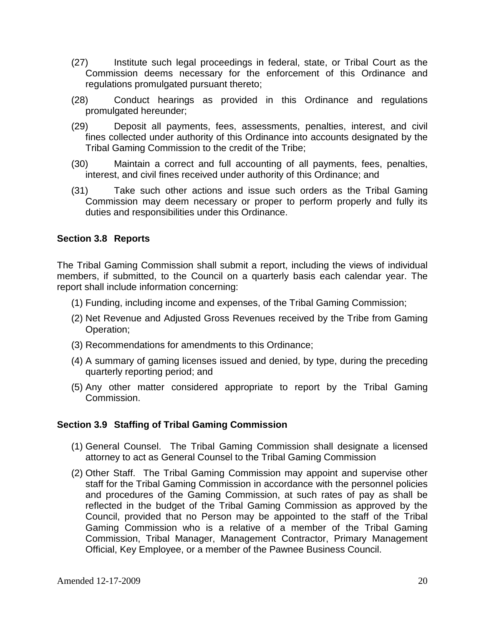- (27) Institute such legal proceedings in federal, state, or Tribal Court as the Commission deems necessary for the enforcement of this Ordinance and regulations promulgated pursuant thereto;
- (28) Conduct hearings as provided in this Ordinance and regulations promulgated hereunder;
- (29) Deposit all payments, fees, assessments, penalties, interest, and civil fines collected under authority of this Ordinance into accounts designated by the Tribal Gaming Commission to the credit of the Tribe;
- (30) Maintain a correct and full accounting of all payments, fees, penalties, interest, and civil fines received under authority of this Ordinance; and
- (31) Take such other actions and issue such orders as the Tribal Gaming Commission may deem necessary or proper to perform properly and fully its duties and responsibilities under this Ordinance.

# **Section 3.8 Reports**

The Tribal Gaming Commission shall submit a report, including the views of individual members, if submitted, to the Council on a quarterly basis each calendar year. The report shall include information concerning:

- (1) Funding, including income and expenses, of the Tribal Gaming Commission;
- (2) Net Revenue and Adjusted Gross Revenues received by the Tribe from Gaming Operation;
- (3) Recommendations for amendments to this Ordinance;
- (4) A summary of gaming licenses issued and denied, by type, during the preceding quarterly reporting period; and
- (5) Any other matter considered appropriate to report by the Tribal Gaming Commission.

#### **Section 3.9 Staffing of Tribal Gaming Commission**

- (1) General Counsel. The Tribal Gaming Commission shall designate a licensed attorney to act as General Counsel to the Tribal Gaming Commission
- (2) Other Staff. The Tribal Gaming Commission may appoint and supervise other staff for the Tribal Gaming Commission in accordance with the personnel policies and procedures of the Gaming Commission, at such rates of pay as shall be reflected in the budget of the Tribal Gaming Commission as approved by the Council, provided that no Person may be appointed to the staff of the Tribal Gaming Commission who is a relative of a member of the Tribal Gaming Commission, Tribal Manager, Management Contractor, Primary Management Official, Key Employee, or a member of the Pawnee Business Council.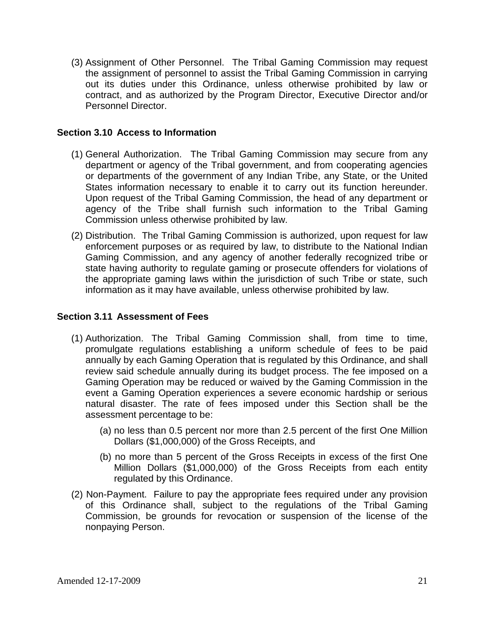(3) Assignment of Other Personnel. The Tribal Gaming Commission may request the assignment of personnel to assist the Tribal Gaming Commission in carrying out its duties under this Ordinance, unless otherwise prohibited by law or contract, and as authorized by the Program Director, Executive Director and/or Personnel Director.

#### **Section 3.10 Access to Information**

- (1) General Authorization. The Tribal Gaming Commission may secure from any department or agency of the Tribal government, and from cooperating agencies or departments of the government of any Indian Tribe, any State, or the United States information necessary to enable it to carry out its function hereunder. Upon request of the Tribal Gaming Commission, the head of any department or agency of the Tribe shall furnish such information to the Tribal Gaming Commission unless otherwise prohibited by law.
- (2) Distribution. The Tribal Gaming Commission is authorized, upon request for law enforcement purposes or as required by law, to distribute to the National Indian Gaming Commission, and any agency of another federally recognized tribe or state having authority to regulate gaming or prosecute offenders for violations of the appropriate gaming laws within the jurisdiction of such Tribe or state, such information as it may have available, unless otherwise prohibited by law.

#### **Section 3.11 Assessment of Fees**

- (1) Authorization. The Tribal Gaming Commission shall, from time to time, promulgate regulations establishing a uniform schedule of fees to be paid annually by each Gaming Operation that is regulated by this Ordinance, and shall review said schedule annually during its budget process. The fee imposed on a Gaming Operation may be reduced or waived by the Gaming Commission in the event a Gaming Operation experiences a severe economic hardship or serious natural disaster. The rate of fees imposed under this Section shall be the assessment percentage to be:
	- (a) no less than 0.5 percent nor more than 2.5 percent of the first One Million Dollars (\$1,000,000) of the Gross Receipts, and
	- (b) no more than 5 percent of the Gross Receipts in excess of the first One Million Dollars (\$1,000,000) of the Gross Receipts from each entity regulated by this Ordinance.
- (2) Non-Payment. Failure to pay the appropriate fees required under any provision of this Ordinance shall, subject to the regulations of the Tribal Gaming Commission, be grounds for revocation or suspension of the license of the nonpaying Person.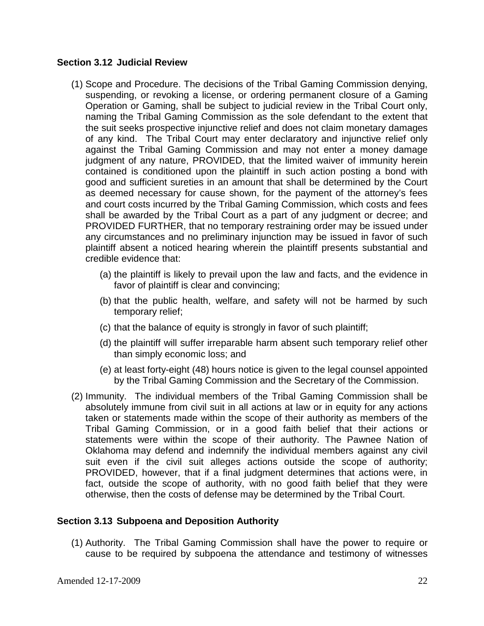#### **Section 3.12 Judicial Review**

- (1) Scope and Procedure. The decisions of the Tribal Gaming Commission denying, suspending, or revoking a license, or ordering permanent closure of a Gaming Operation or Gaming, shall be subject to judicial review in the Tribal Court only, naming the Tribal Gaming Commission as the sole defendant to the extent that the suit seeks prospective injunctive relief and does not claim monetary damages of any kind. The Tribal Court may enter declaratory and injunctive relief only against the Tribal Gaming Commission and may not enter a money damage judgment of any nature, PROVIDED, that the limited waiver of immunity herein contained is conditioned upon the plaintiff in such action posting a bond with good and sufficient sureties in an amount that shall be determined by the Court as deemed necessary for cause shown, for the payment of the attorney's fees and court costs incurred by the Tribal Gaming Commission, which costs and fees shall be awarded by the Tribal Court as a part of any judgment or decree; and PROVIDED FURTHER, that no temporary restraining order may be issued under any circumstances and no preliminary injunction may be issued in favor of such plaintiff absent a noticed hearing wherein the plaintiff presents substantial and credible evidence that:
	- (a) the plaintiff is likely to prevail upon the law and facts, and the evidence in favor of plaintiff is clear and convincing;
	- (b) that the public health, welfare, and safety will not be harmed by such temporary relief;
	- (c) that the balance of equity is strongly in favor of such plaintiff;
	- (d) the plaintiff will suffer irreparable harm absent such temporary relief other than simply economic loss; and
	- (e) at least forty-eight (48) hours notice is given to the legal counsel appointed by the Tribal Gaming Commission and the Secretary of the Commission.
- (2) Immunity. The individual members of the Tribal Gaming Commission shall be absolutely immune from civil suit in all actions at law or in equity for any actions taken or statements made within the scope of their authority as members of the Tribal Gaming Commission, or in a good faith belief that their actions or statements were within the scope of their authority. The Pawnee Nation of Oklahoma may defend and indemnify the individual members against any civil suit even if the civil suit alleges actions outside the scope of authority; PROVIDED, however, that if a final judgment determines that actions were, in fact, outside the scope of authority, with no good faith belief that they were otherwise, then the costs of defense may be determined by the Tribal Court.

#### **Section 3.13 Subpoena and Deposition Authority**

(1) Authority. The Tribal Gaming Commission shall have the power to require or cause to be required by subpoena the attendance and testimony of witnesses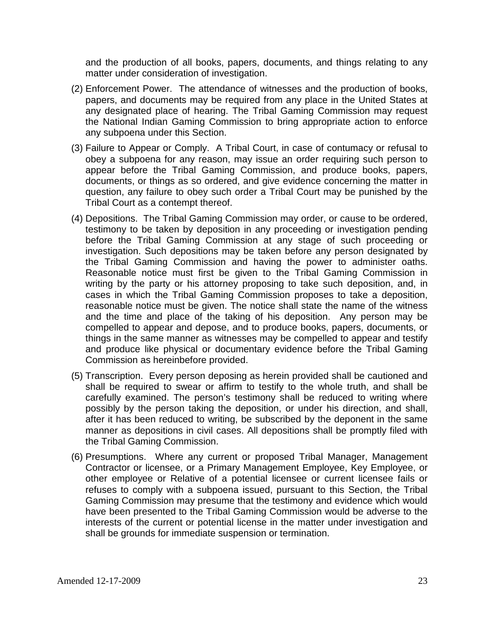and the production of all books, papers, documents, and things relating to any matter under consideration of investigation.

- (2) Enforcement Power. The attendance of witnesses and the production of books, papers, and documents may be required from any place in the United States at any designated place of hearing. The Tribal Gaming Commission may request the National Indian Gaming Commission to bring appropriate action to enforce any subpoena under this Section.
- (3) Failure to Appear or Comply. A Tribal Court, in case of contumacy or refusal to obey a subpoena for any reason, may issue an order requiring such person to appear before the Tribal Gaming Commission, and produce books, papers, documents, or things as so ordered, and give evidence concerning the matter in question, any failure to obey such order a Tribal Court may be punished by the Tribal Court as a contempt thereof.
- (4) Depositions. The Tribal Gaming Commission may order, or cause to be ordered, testimony to be taken by deposition in any proceeding or investigation pending before the Tribal Gaming Commission at any stage of such proceeding or investigation. Such depositions may be taken before any person designated by the Tribal Gaming Commission and having the power to administer oaths. Reasonable notice must first be given to the Tribal Gaming Commission in writing by the party or his attorney proposing to take such deposition, and, in cases in which the Tribal Gaming Commission proposes to take a deposition, reasonable notice must be given. The notice shall state the name of the witness and the time and place of the taking of his deposition. Any person may be compelled to appear and depose, and to produce books, papers, documents, or things in the same manner as witnesses may be compelled to appear and testify and produce like physical or documentary evidence before the Tribal Gaming Commission as hereinbefore provided.
- (5) Transcription. Every person deposing as herein provided shall be cautioned and shall be required to swear or affirm to testify to the whole truth, and shall be carefully examined. The person's testimony shall be reduced to writing where possibly by the person taking the deposition, or under his direction, and shall, after it has been reduced to writing, be subscribed by the deponent in the same manner as depositions in civil cases. All depositions shall be promptly filed with the Tribal Gaming Commission.
- (6) Presumptions. Where any current or proposed Tribal Manager, Management Contractor or licensee, or a Primary Management Employee, Key Employee, or other employee or Relative of a potential licensee or current licensee fails or refuses to comply with a subpoena issued, pursuant to this Section, the Tribal Gaming Commission may presume that the testimony and evidence which would have been presented to the Tribal Gaming Commission would be adverse to the interests of the current or potential license in the matter under investigation and shall be grounds for immediate suspension or termination.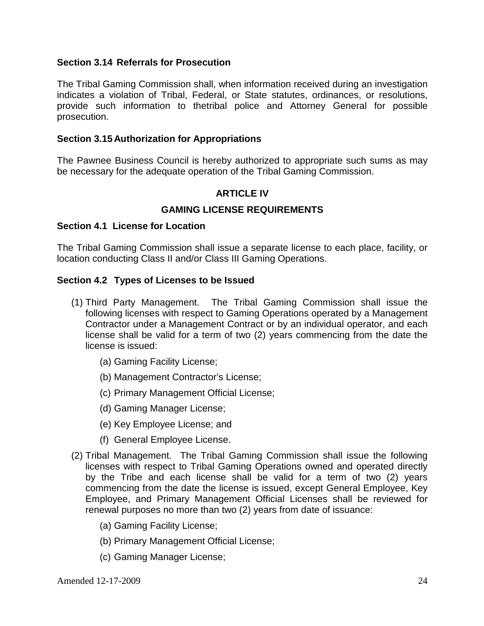#### **Section 3.14 Referrals for Prosecution**

The Tribal Gaming Commission shall, when information received during an investigation indicates a violation of Tribal, Federal, or State statutes, ordinances, or resolutions, provide such information to thetribal police and Attorney General for possible prosecution.

#### **Section 3.15 Authorization for Appropriations**

The Pawnee Business Council is hereby authorized to appropriate such sums as may be necessary for the adequate operation of the Tribal Gaming Commission.

#### **ARTICLE IV**

#### **GAMING LICENSE REQUIREMENTS**

#### **Section 4.1 License for Location**

The Tribal Gaming Commission shall issue a separate license to each place, facility, or location conducting Class II and/or Class III Gaming Operations.

#### **Section 4.2 Types of Licenses to be Issued**

- (1) Third Party Management. The Tribal Gaming Commission shall issue the following licenses with respect to Gaming Operations operated by a Management Contractor under a Management Contract or by an individual operator, and each license shall be valid for a term of two (2) years commencing from the date the license is issued:
	- (a) Gaming Facility License;
	- (b) Management Contractor's License;
	- (c) Primary Management Official License;
	- (d) Gaming Manager License;
	- (e) Key Employee License; and
	- (f) General Employee License.
- (2) Tribal Management. The Tribal Gaming Commission shall issue the following licenses with respect to Tribal Gaming Operations owned and operated directly by the Tribe and each license shall be valid for a term of two (2) years commencing from the date the license is issued, except General Employee, Key Employee, and Primary Management Official Licenses shall be reviewed for renewal purposes no more than two (2) years from date of issuance:
	- (a) Gaming Facility License;
	- (b) Primary Management Official License;
	- (c) Gaming Manager License;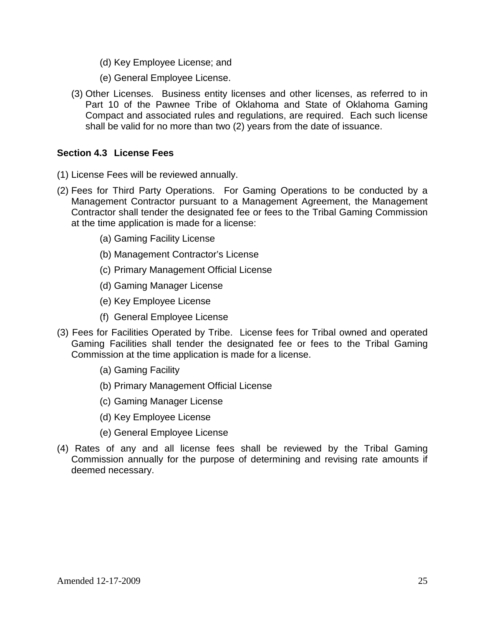- (d) Key Employee License; and
- (e) General Employee License.
- (3) Other Licenses. Business entity licenses and other licenses, as referred to in Part 10 of the Pawnee Tribe of Oklahoma and State of Oklahoma Gaming Compact and associated rules and regulations, are required. Each such license shall be valid for no more than two (2) years from the date of issuance.

#### **Section 4.3 License Fees**

- (1) License Fees will be reviewed annually.
- (2) Fees for Third Party Operations. For Gaming Operations to be conducted by a Management Contractor pursuant to a Management Agreement, the Management Contractor shall tender the designated fee or fees to the Tribal Gaming Commission at the time application is made for a license:
	- (a) Gaming Facility License
	- (b) Management Contractor's License
	- (c) Primary Management Official License
	- (d) Gaming Manager License
	- (e) Key Employee License
	- (f) General Employee License
- (3) Fees for Facilities Operated by Tribe. License fees for Tribal owned and operated Gaming Facilities shall tender the designated fee or fees to the Tribal Gaming Commission at the time application is made for a license.
	- (a) Gaming Facility
	- (b) Primary Management Official License
	- (c) Gaming Manager License
	- (d) Key Employee License
	- (e) General Employee License
- (4) Rates of any and all license fees shall be reviewed by the Tribal Gaming Commission annually for the purpose of determining and revising rate amounts if deemed necessary.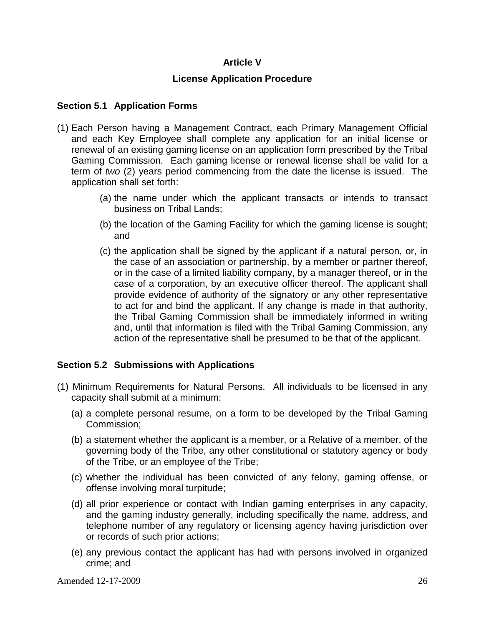# **Article V**

## **License Application Procedure**

# **Section 5.1 Application Forms**

- (1) Each Person having a Management Contract, each Primary Management Official and each Key Employee shall complete any application for an initial license or renewal of an existing gaming license on an application form prescribed by the Tribal Gaming Commission. Each gaming license or renewal license shall be valid for a term of *two* (2) years period commencing from the date the license is issued. The application shall set forth:
	- (a) the name under which the applicant transacts or intends to transact business on Tribal Lands;
	- (b) the location of the Gaming Facility for which the gaming license is sought; and
	- (c) the application shall be signed by the applicant if a natural person, or, in the case of an association or partnership, by a member or partner thereof, or in the case of a limited liability company, by a manager thereof, or in the case of a corporation, by an executive officer thereof. The applicant shall provide evidence of authority of the signatory or any other representative to act for and bind the applicant. If any change is made in that authority, the Tribal Gaming Commission shall be immediately informed in writing and, until that information is filed with the Tribal Gaming Commission, any action of the representative shall be presumed to be that of the applicant.

# **Section 5.2 Submissions with Applications**

- (1) Minimum Requirements for Natural Persons. All individuals to be licensed in any capacity shall submit at a minimum:
	- (a) a complete personal resume, on a form to be developed by the Tribal Gaming Commission;
	- (b) a statement whether the applicant is a member, or a Relative of a member, of the governing body of the Tribe, any other constitutional or statutory agency or body of the Tribe, or an employee of the Tribe;
	- (c) whether the individual has been convicted of any felony, gaming offense, or offense involving moral turpitude;
	- (d) all prior experience or contact with Indian gaming enterprises in any capacity, and the gaming industry generally, including specifically the name, address, and telephone number of any regulatory or licensing agency having jurisdiction over or records of such prior actions;
	- (e) any previous contact the applicant has had with persons involved in organized crime; and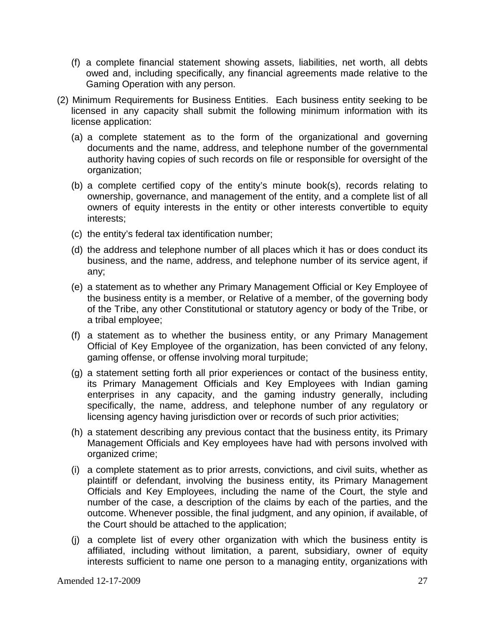- (f) a complete financial statement showing assets, liabilities, net worth, all debts owed and, including specifically, any financial agreements made relative to the Gaming Operation with any person.
- (2) Minimum Requirements for Business Entities. Each business entity seeking to be licensed in any capacity shall submit the following minimum information with its license application:
	- (a) a complete statement as to the form of the organizational and governing documents and the name, address, and telephone number of the governmental authority having copies of such records on file or responsible for oversight of the organization;
	- (b) a complete certified copy of the entity's minute book(s), records relating to ownership, governance, and management of the entity, and a complete list of all owners of equity interests in the entity or other interests convertible to equity interests;
	- (c) the entity's federal tax identification number;
	- (d) the address and telephone number of all places which it has or does conduct its business, and the name, address, and telephone number of its service agent, if any;
	- (e) a statement as to whether any Primary Management Official or Key Employee of the business entity is a member, or Relative of a member, of the governing body of the Tribe, any other Constitutional or statutory agency or body of the Tribe, or a tribal employee;
	- (f) a statement as to whether the business entity, or any Primary Management Official of Key Employee of the organization, has been convicted of any felony, gaming offense, or offense involving moral turpitude;
	- (g) a statement setting forth all prior experiences or contact of the business entity, its Primary Management Officials and Key Employees with Indian gaming enterprises in any capacity, and the gaming industry generally, including specifically, the name, address, and telephone number of any regulatory or licensing agency having jurisdiction over or records of such prior activities;
	- (h) a statement describing any previous contact that the business entity, its Primary Management Officials and Key employees have had with persons involved with organized crime;
	- (i) a complete statement as to prior arrests, convictions, and civil suits, whether as plaintiff or defendant, involving the business entity, its Primary Management Officials and Key Employees, including the name of the Court, the style and number of the case, a description of the claims by each of the parties, and the outcome. Whenever possible, the final judgment, and any opinion, if available, of the Court should be attached to the application;
	- (j) a complete list of every other organization with which the business entity is affiliated, including without limitation, a parent, subsidiary, owner of equity interests sufficient to name one person to a managing entity, organizations with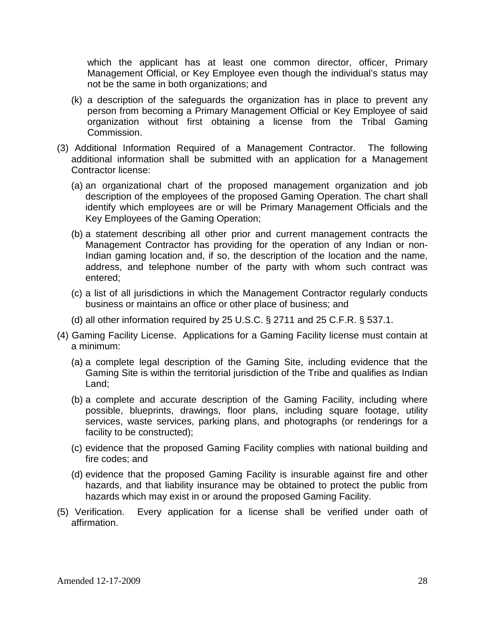which the applicant has at least one common director, officer, Primary Management Official, or Key Employee even though the individual's status may not be the same in both organizations; and

- (k) a description of the safeguards the organization has in place to prevent any person from becoming a Primary Management Official or Key Employee of said organization without first obtaining a license from the Tribal Gaming Commission.
- (3) Additional Information Required of a Management Contractor. The following additional information shall be submitted with an application for a Management Contractor license:
	- (a) an organizational chart of the proposed management organization and job description of the employees of the proposed Gaming Operation. The chart shall identify which employees are or will be Primary Management Officials and the Key Employees of the Gaming Operation;
	- (b) a statement describing all other prior and current management contracts the Management Contractor has providing for the operation of any Indian or non-Indian gaming location and, if so, the description of the location and the name, address, and telephone number of the party with whom such contract was entered;
	- (c) a list of all jurisdictions in which the Management Contractor regularly conducts business or maintains an office or other place of business; and
	- (d) all other information required by 25 U.S.C. § 2711 and 25 C.F.R. § 537.1.
- (4) Gaming Facility License. Applications for a Gaming Facility license must contain at a minimum:
	- (a) a complete legal description of the Gaming Site, including evidence that the Gaming Site is within the territorial jurisdiction of the Tribe and qualifies as Indian Land;
	- (b) a complete and accurate description of the Gaming Facility, including where possible, blueprints, drawings, floor plans, including square footage, utility services, waste services, parking plans, and photographs (or renderings for a facility to be constructed);
	- (c) evidence that the proposed Gaming Facility complies with national building and fire codes; and
	- (d) evidence that the proposed Gaming Facility is insurable against fire and other hazards, and that liability insurance may be obtained to protect the public from hazards which may exist in or around the proposed Gaming Facility.
- (5) Verification. Every application for a license shall be verified under oath of affirmation.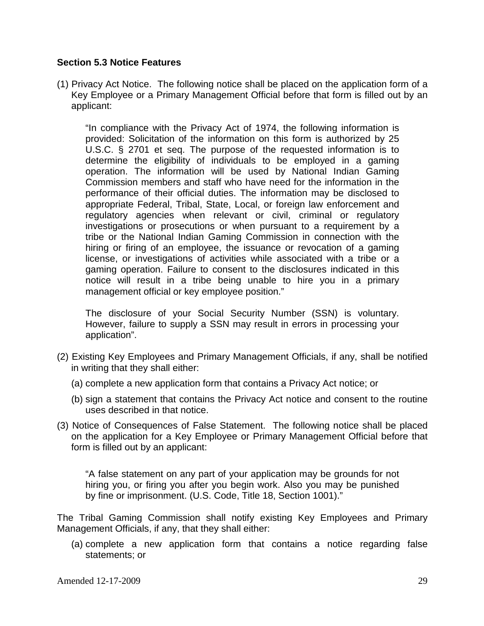#### **Section 5.3 Notice Features**

(1) Privacy Act Notice. The following notice shall be placed on the application form of a Key Employee or a Primary Management Official before that form is filled out by an applicant:

"In compliance with the Privacy Act of 1974, the following information is provided: Solicitation of the information on this form is authorized by 25 U.S.C. § 2701 et seq. The purpose of the requested information is to determine the eligibility of individuals to be employed in a gaming operation. The information will be used by National Indian Gaming Commission members and staff who have need for the information in the performance of their official duties. The information may be disclosed to appropriate Federal, Tribal, State, Local, or foreign law enforcement and regulatory agencies when relevant or civil, criminal or regulatory investigations or prosecutions or when pursuant to a requirement by a tribe or the National Indian Gaming Commission in connection with the hiring or firing of an employee, the issuance or revocation of a gaming license, or investigations of activities while associated with a tribe or a gaming operation. Failure to consent to the disclosures indicated in this notice will result in a tribe being unable to hire you in a primary management official or key employee position."

The disclosure of your Social Security Number (SSN) is voluntary. However, failure to supply a SSN may result in errors in processing your application".

- (2) Existing Key Employees and Primary Management Officials, if any, shall be notified in writing that they shall either:
	- (a) complete a new application form that contains a Privacy Act notice; or
	- (b) sign a statement that contains the Privacy Act notice and consent to the routine uses described in that notice.
- (3) Notice of Consequences of False Statement. The following notice shall be placed on the application for a Key Employee or Primary Management Official before that form is filled out by an applicant:

"A false statement on any part of your application may be grounds for not hiring you, or firing you after you begin work. Also you may be punished by fine or imprisonment. (U.S. Code, Title 18, Section 1001)."

The Tribal Gaming Commission shall notify existing Key Employees and Primary Management Officials, if any, that they shall either:

(a) complete a new application form that contains a notice regarding false statements; or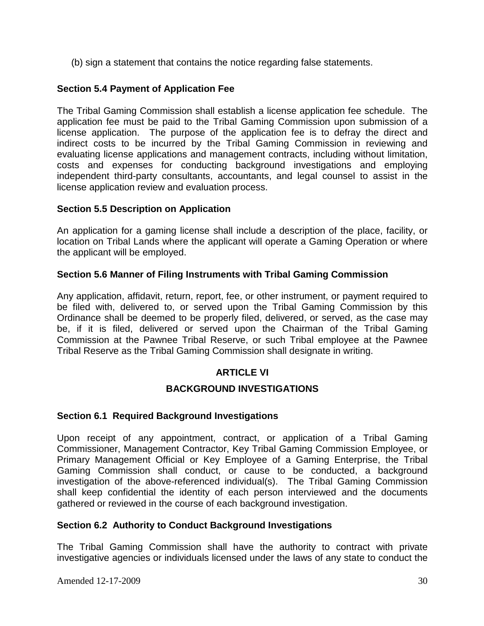(b) sign a statement that contains the notice regarding false statements.

# **Section 5.4 Payment of Application Fee**

The Tribal Gaming Commission shall establish a license application fee schedule. The application fee must be paid to the Tribal Gaming Commission upon submission of a license application. The purpose of the application fee is to defray the direct and indirect costs to be incurred by the Tribal Gaming Commission in reviewing and evaluating license applications and management contracts, including without limitation, costs and expenses for conducting background investigations and employing independent third-party consultants, accountants, and legal counsel to assist in the license application review and evaluation process.

# **Section 5.5 Description on Application**

An application for a gaming license shall include a description of the place, facility, or location on Tribal Lands where the applicant will operate a Gaming Operation or where the applicant will be employed.

# **Section 5.6 Manner of Filing Instruments with Tribal Gaming Commission**

Any application, affidavit, return, report, fee, or other instrument, or payment required to be filed with, delivered to, or served upon the Tribal Gaming Commission by this Ordinance shall be deemed to be properly filed, delivered, or served, as the case may be, if it is filed, delivered or served upon the Chairman of the Tribal Gaming Commission at the Pawnee Tribal Reserve, or such Tribal employee at the Pawnee Tribal Reserve as the Tribal Gaming Commission shall designate in writing.

# **ARTICLE VI**

# **BACKGROUND INVESTIGATIONS**

#### **Section 6.1 Required Background Investigations**

Upon receipt of any appointment, contract, or application of a Tribal Gaming Commissioner, Management Contractor, Key Tribal Gaming Commission Employee, or Primary Management Official or Key Employee of a Gaming Enterprise, the Tribal Gaming Commission shall conduct, or cause to be conducted, a background investigation of the above-referenced individual(s). The Tribal Gaming Commission shall keep confidential the identity of each person interviewed and the documents gathered or reviewed in the course of each background investigation.

# **Section 6.2 Authority to Conduct Background Investigations**

The Tribal Gaming Commission shall have the authority to contract with private investigative agencies or individuals licensed under the laws of any state to conduct the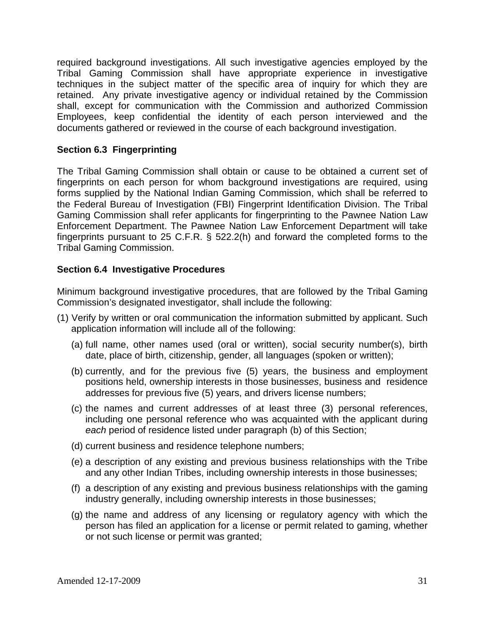required background investigations. All such investigative agencies employed by the Tribal Gaming Commission shall have appropriate experience in investigative techniques in the subject matter of the specific area of inquiry for which they are retained. Any private investigative agency or individual retained by the Commission shall, except for communication with the Commission and authorized Commission Employees, keep confidential the identity of each person interviewed and the documents gathered or reviewed in the course of each background investigation.

# **Section 6.3 Fingerprinting**

The Tribal Gaming Commission shall obtain or cause to be obtained a current set of fingerprints on each person for whom background investigations are required, using forms supplied by the National Indian Gaming Commission, which shall be referred to the Federal Bureau of Investigation (FBI) Fingerprint Identification Division. The Tribal Gaming Commission shall refer applicants for fingerprinting to the Pawnee Nation Law Enforcement Department. The Pawnee Nation Law Enforcement Department will take fingerprints pursuant to 25 C.F.R. § 522.2(h) and forward the completed forms to the Tribal Gaming Commission.

# **Section 6.4 Investigative Procedures**

Minimum background investigative procedures, that are followed by the Tribal Gaming Commission's designated investigator, shall include the following:

- (1) Verify by written or oral communication the information submitted by applicant. Such application information will include all of the following:
	- (a) full name, other names used (oral or written), social security number(s), birth date, place of birth, citizenship, gender, all languages (spoken or written);
	- (b) currently, and for the previous five (5) years, the business and employment positions held, ownership interests in those business*es*, business and residence addresses for previous five (5) years, and drivers license numbers;
	- (c) the names and current addresses of at least three (3) personal references, including one personal reference who was acquainted with the applicant during *each* period of residence listed under paragraph (b) of this Section;
	- (d) current business and residence telephone numbers;
	- (e) a description of any existing and previous business relationships with the Tribe and any other Indian Tribes, including ownership interests in those businesses;
	- (f) a description of any existing and previous business relationships with the gaming industry generally, including ownership interests in those businesses;
	- (g) the name and address of any licensing or regulatory agency with which the person has filed an application for a license or permit related to gaming, whether or not such license or permit was granted;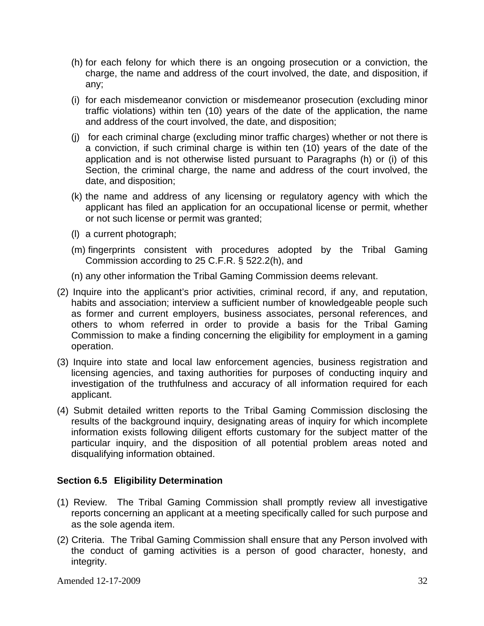- (h) for each felony for which there is an ongoing prosecution or a conviction, the charge, the name and address of the court involved, the date, and disposition, if any;
- (i) for each misdemeanor conviction or misdemeanor prosecution (excluding minor traffic violations) within ten (10) years of the date of the application, the name and address of the court involved, the date, and disposition;
- (j) for each criminal charge (excluding minor traffic charges) whether or not there is a conviction, if such criminal charge is within ten (10) years of the date of the application and is not otherwise listed pursuant to Paragraphs (h) or (i) of this Section, the criminal charge, the name and address of the court involved, the date, and disposition;
- (k) the name and address of any licensing or regulatory agency with which the applicant has filed an application for an occupational license or permit, whether or not such license or permit was granted;
- (l) a current photograph;
- (m) fingerprints consistent with procedures adopted by the Tribal Gaming Commission according to 25 C.F.R. § 522.2(h), and
- (n) any other information the Tribal Gaming Commission deems relevant.
- (2) Inquire into the applicant's prior activities, criminal record, if any, and reputation, habits and association; interview a sufficient number of knowledgeable people such as former and current employers, business associates, personal references, and others to whom referred in order to provide a basis for the Tribal Gaming Commission to make a finding concerning the eligibility for employment in a gaming operation.
- (3) Inquire into state and local law enforcement agencies, business registration and licensing agencies, and taxing authorities for purposes of conducting inquiry and investigation of the truthfulness and accuracy of all information required for each applicant.
- (4) Submit detailed written reports to the Tribal Gaming Commission disclosing the results of the background inquiry, designating areas of inquiry for which incomplete information exists following diligent efforts customary for the subject matter of the particular inquiry, and the disposition of all potential problem areas noted and disqualifying information obtained.

# **Section 6.5 Eligibility Determination**

- (1) Review. The Tribal Gaming Commission shall promptly review all investigative reports concerning an applicant at a meeting specifically called for such purpose and as the sole agenda item.
- (2) Criteria. The Tribal Gaming Commission shall ensure that any Person involved with the conduct of gaming activities is a person of good character, honesty, and integrity.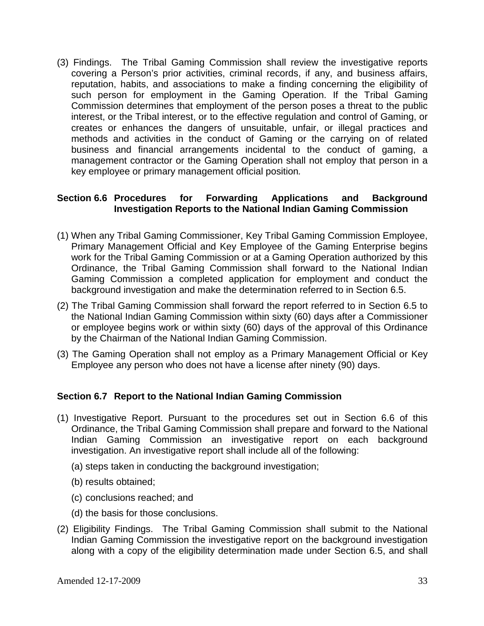(3) Findings. The Tribal Gaming Commission shall review the investigative reports covering a Person's prior activities, criminal records, if any, and business affairs, reputation, habits, and associations to make a finding concerning the eligibility of such person for employment in the Gaming Operation. If the Tribal Gaming Commission determines that employment of the person poses a threat to the public interest, or the Tribal interest, or to the effective regulation and control of Gaming, or creates or enhances the dangers of unsuitable, unfair, or illegal practices and methods and activities in the conduct of Gaming or the carrying on of related business and financial arrangements incidental to the conduct of gaming, a management contractor or the Gaming Operation shall not employ that person in a key employee or primary management official position*.*

# **Section 6.6 Procedures for Forwarding Applications and Background Investigation Reports to the National Indian Gaming Commission**

- (1) When any Tribal Gaming Commissioner, Key Tribal Gaming Commission Employee, Primary Management Official and Key Employee of the Gaming Enterprise begins work for the Tribal Gaming Commission or at a Gaming Operation authorized by this Ordinance, the Tribal Gaming Commission shall forward to the National Indian Gaming Commission a completed application for employment and conduct the background investigation and make the determination referred to in Section 6.5.
- (2) The Tribal Gaming Commission shall forward the report referred to in Section 6.5 to the National Indian Gaming Commission within sixty (60) days after a Commissioner or employee begins work or within sixty (60) days of the approval of this Ordinance by the Chairman of the National Indian Gaming Commission.
- (3) The Gaming Operation shall not employ as a Primary Management Official or Key Employee any person who does not have a license after ninety (90) days.

#### **Section 6.7 Report to the National Indian Gaming Commission**

- (1) Investigative Report. Pursuant to the procedures set out in Section 6.6 of this Ordinance, the Tribal Gaming Commission shall prepare and forward to the National Indian Gaming Commission an investigative report on each background investigation. An investigative report shall include all of the following:
	- (a) steps taken in conducting the background investigation;
	- (b) results obtained;
	- (c) conclusions reached; and
	- (d) the basis for those conclusions.
- (2) Eligibility Findings. The Tribal Gaming Commission shall submit to the National Indian Gaming Commission the investigative report on the background investigation along with a copy of the eligibility determination made under Section 6.5, and shall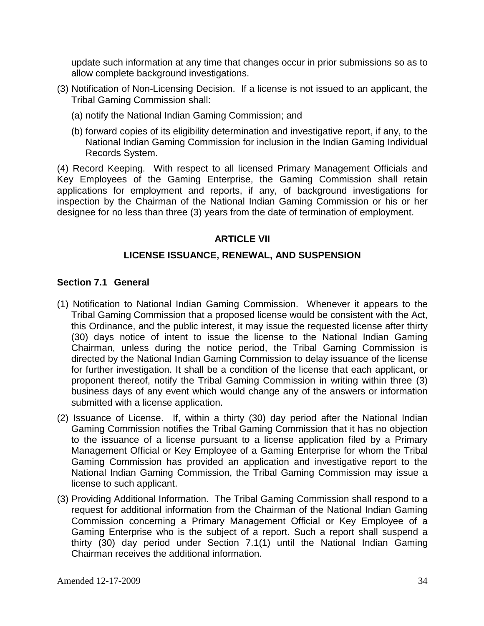update such information at any time that changes occur in prior submissions so as to allow complete background investigations.

- (3) Notification of Non-Licensing Decision. If a license is not issued to an applicant, the Tribal Gaming Commission shall:
	- (a) notify the National Indian Gaming Commission; and
	- (b) forward copies of its eligibility determination and investigative report, if any, to the National Indian Gaming Commission for inclusion in the Indian Gaming Individual Records System.

(4) Record Keeping. With respect to all licensed Primary Management Officials and Key Employees of the Gaming Enterprise, the Gaming Commission shall retain applications for employment and reports, if any, of background investigations for inspection by the Chairman of the National Indian Gaming Commission or his or her designee for no less than three (3) years from the date of termination of employment.

# **ARTICLE VII**

#### **LICENSE ISSUANCE, RENEWAL, AND SUSPENSION**

#### **Section 7.1 General**

- (1) Notification to National Indian Gaming Commission. Whenever it appears to the Tribal Gaming Commission that a proposed license would be consistent with the Act, this Ordinance, and the public interest, it may issue the requested license after thirty (30) days notice of intent to issue the license to the National Indian Gaming Chairman, unless during the notice period, the Tribal Gaming Commission is directed by the National Indian Gaming Commission to delay issuance of the license for further investigation. It shall be a condition of the license that each applicant, or proponent thereof, notify the Tribal Gaming Commission in writing within three (3) business days of any event which would change any of the answers or information submitted with a license application.
- (2) Issuance of License. If, within a thirty (30) day period after the National Indian Gaming Commission notifies the Tribal Gaming Commission that it has no objection to the issuance of a license pursuant to a license application filed by a Primary Management Official or Key Employee of a Gaming Enterprise for whom the Tribal Gaming Commission has provided an application and investigative report to the National Indian Gaming Commission, the Tribal Gaming Commission may issue a license to such applicant.
- (3) Providing Additional Information. The Tribal Gaming Commission shall respond to a request for additional information from the Chairman of the National Indian Gaming Commission concerning a Primary Management Official or Key Employee of a Gaming Enterprise who is the subject of a report. Such a report shall suspend a thirty (30) day period under Section 7.1(1) until the National Indian Gaming Chairman receives the additional information.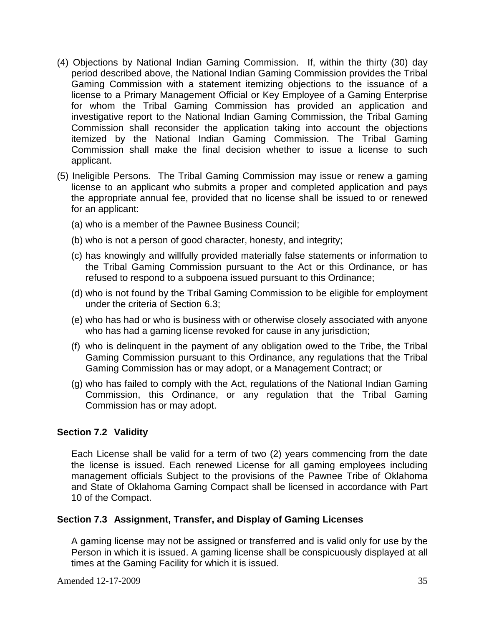- (4) Objections by National Indian Gaming Commission. If, within the thirty (30) day period described above, the National Indian Gaming Commission provides the Tribal Gaming Commission with a statement itemizing objections to the issuance of a license to a Primary Management Official or Key Employee of a Gaming Enterprise for whom the Tribal Gaming Commission has provided an application and investigative report to the National Indian Gaming Commission, the Tribal Gaming Commission shall reconsider the application taking into account the objections itemized by the National Indian Gaming Commission. The Tribal Gaming Commission shall make the final decision whether to issue a license to such applicant.
- (5) Ineligible Persons. The Tribal Gaming Commission may issue or renew a gaming license to an applicant who submits a proper and completed application and pays the appropriate annual fee, provided that no license shall be issued to or renewed for an applicant:
	- (a) who is a member of the Pawnee Business Council;
	- (b) who is not a person of good character, honesty, and integrity;
	- (c) has knowingly and willfully provided materially false statements or information to the Tribal Gaming Commission pursuant to the Act or this Ordinance, or has refused to respond to a subpoena issued pursuant to this Ordinance;
	- (d) who is not found by the Tribal Gaming Commission to be eligible for employment under the criteria of Section 6.3;
	- (e) who has had or who is business with or otherwise closely associated with anyone who has had a gaming license revoked for cause in any jurisdiction;
	- (f) who is delinquent in the payment of any obligation owed to the Tribe, the Tribal Gaming Commission pursuant to this Ordinance, any regulations that the Tribal Gaming Commission has or may adopt, or a Management Contract; or
	- (g) who has failed to comply with the Act, regulations of the National Indian Gaming Commission, this Ordinance, or any regulation that the Tribal Gaming Commission has or may adopt.

#### **Section 7.2 Validity**

Each License shall be valid for a term of two (2) years commencing from the date the license is issued. Each renewed License for all gaming employees including management officials Subject to the provisions of the Pawnee Tribe of Oklahoma and State of Oklahoma Gaming Compact shall be licensed in accordance with Part 10 of the Compact.

#### **Section 7.3 Assignment, Transfer, and Display of Gaming Licenses**

A gaming license may not be assigned or transferred and is valid only for use by the Person in which it is issued. A gaming license shall be conspicuously displayed at all times at the Gaming Facility for which it is issued.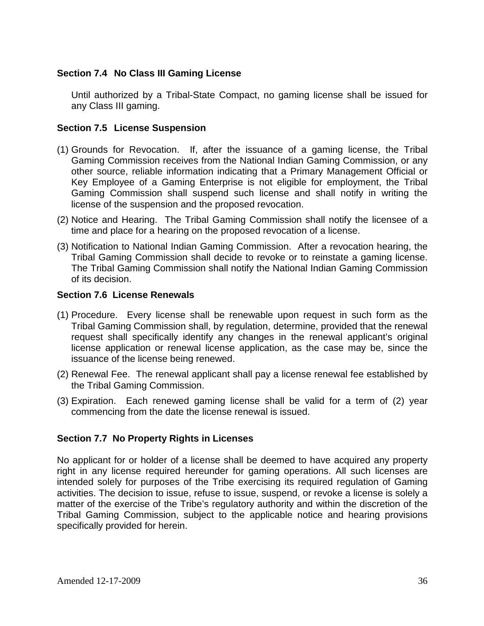# **Section 7.4 No Class III Gaming License**

Until authorized by a Tribal-State Compact, no gaming license shall be issued for any Class III gaming.

#### **Section 7.5 License Suspension**

- (1) Grounds for Revocation. If, after the issuance of a gaming license, the Tribal Gaming Commission receives from the National Indian Gaming Commission, or any other source, reliable information indicating that a Primary Management Official or Key Employee of a Gaming Enterprise is not eligible for employment, the Tribal Gaming Commission shall suspend such license and shall notify in writing the license of the suspension and the proposed revocation.
- (2) Notice and Hearing. The Tribal Gaming Commission shall notify the licensee of a time and place for a hearing on the proposed revocation of a license.
- (3) Notification to National Indian Gaming Commission. After a revocation hearing, the Tribal Gaming Commission shall decide to revoke or to reinstate a gaming license. The Tribal Gaming Commission shall notify the National Indian Gaming Commission of its decision.

#### **Section 7.6 License Renewals**

- (1) Procedure. Every license shall be renewable upon request in such form as the Tribal Gaming Commission shall, by regulation, determine, provided that the renewal request shall specifically identify any changes in the renewal applicant's original license application or renewal license application, as the case may be, since the issuance of the license being renewed.
- (2) Renewal Fee. The renewal applicant shall pay a license renewal fee established by the Tribal Gaming Commission.
- (3) Expiration. Each renewed gaming license shall be valid for a term of (2) year commencing from the date the license renewal is issued.

# **Section 7.7 No Property Rights in Licenses**

No applicant for or holder of a license shall be deemed to have acquired any property right in any license required hereunder for gaming operations. All such licenses are intended solely for purposes of the Tribe exercising its required regulation of Gaming activities. The decision to issue, refuse to issue, suspend, or revoke a license is solely a matter of the exercise of the Tribe's regulatory authority and within the discretion of the Tribal Gaming Commission, subject to the applicable notice and hearing provisions specifically provided for herein.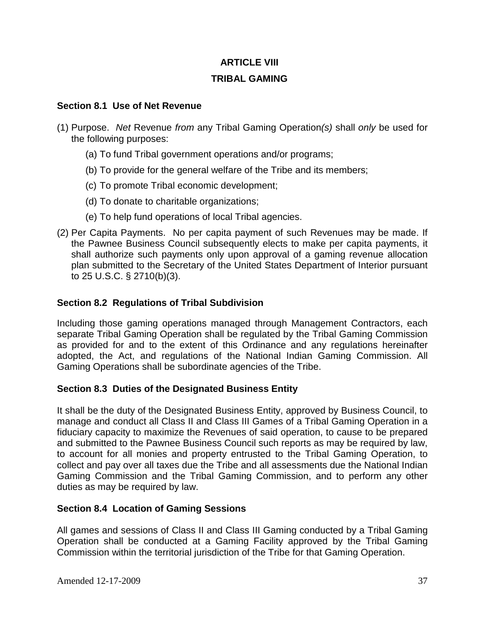# **ARTICLE VIII**

# **TRIBAL GAMING**

#### **Section 8.1 Use of Net Revenue**

- (1) Purpose. *Net* Revenue *from* any Tribal Gaming Operation*(s)* shall *only* be used for the following purposes:
	- (a) To fund Tribal government operations and/or programs;
	- (b) To provide for the general welfare of the Tribe and its members;
	- (c) To promote Tribal economic development;
	- (d) To donate to charitable organizations;
	- (e) To help fund operations of local Tribal agencies.
- (2) Per Capita Payments. No per capita payment of such Revenues may be made. If the Pawnee Business Council subsequently elects to make per capita payments, it shall authorize such payments only upon approval of a gaming revenue allocation plan submitted to the Secretary of the United States Department of Interior pursuant to 25 U.S.C. § 2710(b)(3).

# **Section 8.2 Regulations of Tribal Subdivision**

Including those gaming operations managed through Management Contractors, each separate Tribal Gaming Operation shall be regulated by the Tribal Gaming Commission as provided for and to the extent of this Ordinance and any regulations hereinafter adopted, the Act, and regulations of the National Indian Gaming Commission. All Gaming Operations shall be subordinate agencies of the Tribe.

#### **Section 8.3 Duties of the Designated Business Entity**

It shall be the duty of the Designated Business Entity, approved by Business Council, to manage and conduct all Class II and Class III Games of a Tribal Gaming Operation in a fiduciary capacity to maximize the Revenues of said operation, to cause to be prepared and submitted to the Pawnee Business Council such reports as may be required by law, to account for all monies and property entrusted to the Tribal Gaming Operation, to collect and pay over all taxes due the Tribe and all assessments due the National Indian Gaming Commission and the Tribal Gaming Commission, and to perform any other duties as may be required by law.

#### **Section 8.4 Location of Gaming Sessions**

All games and sessions of Class II and Class III Gaming conducted by a Tribal Gaming Operation shall be conducted at a Gaming Facility approved by the Tribal Gaming Commission within the territorial jurisdiction of the Tribe for that Gaming Operation.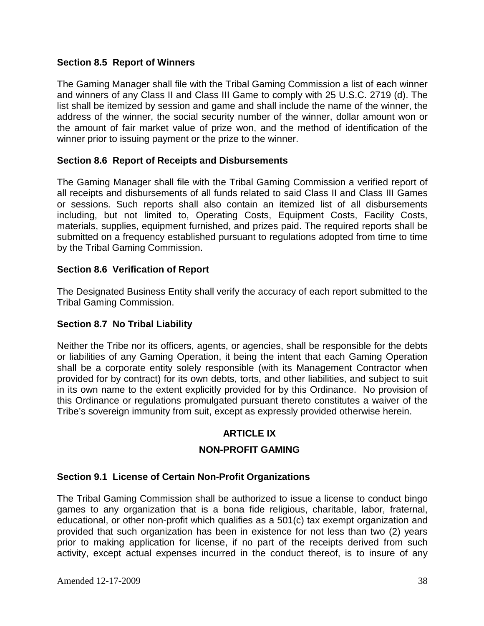# **Section 8.5 Report of Winners**

The Gaming Manager shall file with the Tribal Gaming Commission a list of each winner and winners of any Class II and Class III Game to comply with 25 U.S.C. 2719 (d). The list shall be itemized by session and game and shall include the name of the winner, the address of the winner, the social security number of the winner, dollar amount won or the amount of fair market value of prize won, and the method of identification of the winner prior to issuing payment or the prize to the winner.

# **Section 8.6 Report of Receipts and Disbursements**

The Gaming Manager shall file with the Tribal Gaming Commission a verified report of all receipts and disbursements of all funds related to said Class II and Class III Games or sessions. Such reports shall also contain an itemized list of all disbursements including, but not limited to, Operating Costs, Equipment Costs, Facility Costs, materials, supplies, equipment furnished, and prizes paid. The required reports shall be submitted on a frequency established pursuant to regulations adopted from time to time by the Tribal Gaming Commission.

# **Section 8.6 Verification of Report**

The Designated Business Entity shall verify the accuracy of each report submitted to the Tribal Gaming Commission.

#### **Section 8.7 No Tribal Liability**

Neither the Tribe nor its officers, agents, or agencies, shall be responsible for the debts or liabilities of any Gaming Operation, it being the intent that each Gaming Operation shall be a corporate entity solely responsible (with its Management Contractor when provided for by contract) for its own debts, torts, and other liabilities, and subject to suit in its own name to the extent explicitly provided for by this Ordinance. No provision of this Ordinance or regulations promulgated pursuant thereto constitutes a waiver of the Tribe's sovereign immunity from suit, except as expressly provided otherwise herein.

# **ARTICLE IX**

#### **NON-PROFIT GAMING**

#### **Section 9.1 License of Certain Non-Profit Organizations**

The Tribal Gaming Commission shall be authorized to issue a license to conduct bingo games to any organization that is a bona fide religious, charitable, labor, fraternal, educational, or other non-profit which qualifies as a 501(c) tax exempt organization and provided that such organization has been in existence for not less than two (2) years prior to making application for license, if no part of the receipts derived from such activity, except actual expenses incurred in the conduct thereof, is to insure of any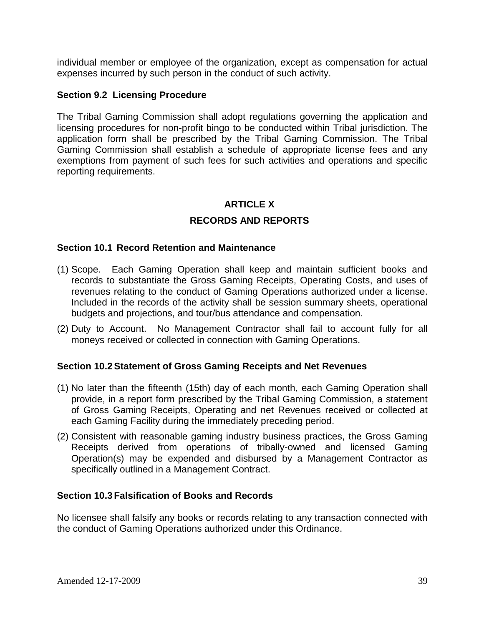individual member or employee of the organization, except as compensation for actual expenses incurred by such person in the conduct of such activity.

#### **Section 9.2 Licensing Procedure**

The Tribal Gaming Commission shall adopt regulations governing the application and licensing procedures for non-profit bingo to be conducted within Tribal jurisdiction. The application form shall be prescribed by the Tribal Gaming Commission. The Tribal Gaming Commission shall establish a schedule of appropriate license fees and any exemptions from payment of such fees for such activities and operations and specific reporting requirements.

# **ARTICLE X**

#### **RECORDS AND REPORTS**

#### **Section 10.1 Record Retention and Maintenance**

- (1) Scope. Each Gaming Operation shall keep and maintain sufficient books and records to substantiate the Gross Gaming Receipts, Operating Costs, and uses of revenues relating to the conduct of Gaming Operations authorized under a license. Included in the records of the activity shall be session summary sheets, operational budgets and projections, and tour/bus attendance and compensation.
- (2) Duty to Account. No Management Contractor shall fail to account fully for all moneys received or collected in connection with Gaming Operations.

#### **Section 10.2Statement of Gross Gaming Receipts and Net Revenues**

- (1) No later than the fifteenth (15th) day of each month, each Gaming Operation shall provide, in a report form prescribed by the Tribal Gaming Commission, a statement of Gross Gaming Receipts, Operating and net Revenues received or collected at each Gaming Facility during the immediately preceding period.
- (2) Consistent with reasonable gaming industry business practices, the Gross Gaming Receipts derived from operations of tribally-owned and licensed Gaming Operation(s) may be expended and disbursed by a Management Contractor as specifically outlined in a Management Contract.

#### **Section 10.3 Falsification of Books and Records**

No licensee shall falsify any books or records relating to any transaction connected with the conduct of Gaming Operations authorized under this Ordinance.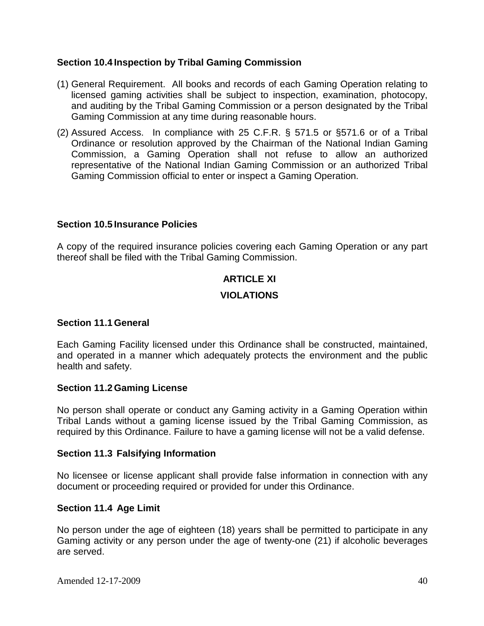### **Section 10.4 Inspection by Tribal Gaming Commission**

- (1) General Requirement. All books and records of each Gaming Operation relating to licensed gaming activities shall be subject to inspection, examination, photocopy, and auditing by the Tribal Gaming Commission or a person designated by the Tribal Gaming Commission at any time during reasonable hours.
- (2) Assured Access. In compliance with 25 C.F.R. § 571.5 or §571.6 or of a Tribal Ordinance or resolution approved by the Chairman of the National Indian Gaming Commission, a Gaming Operation shall not refuse to allow an authorized representative of the National Indian Gaming Commission or an authorized Tribal Gaming Commission official to enter or inspect a Gaming Operation.

# **Section 10.5 Insurance Policies**

A copy of the required insurance policies covering each Gaming Operation or any part thereof shall be filed with the Tribal Gaming Commission.

# **ARTICLE XI**

# **VIOLATIONS**

#### **Section 11.1General**

Each Gaming Facility licensed under this Ordinance shall be constructed, maintained, and operated in a manner which adequately protects the environment and the public health and safety.

#### **Section 11.2Gaming License**

No person shall operate or conduct any Gaming activity in a Gaming Operation within Tribal Lands without a gaming license issued by the Tribal Gaming Commission, as required by this Ordinance. Failure to have a gaming license will not be a valid defense.

#### **Section 11.3 Falsifying Information**

No licensee or license applicant shall provide false information in connection with any document or proceeding required or provided for under this Ordinance.

#### **Section 11.4 Age Limit**

No person under the age of eighteen (18) years shall be permitted to participate in any Gaming activity or any person under the age of twenty-one (21) if alcoholic beverages are served.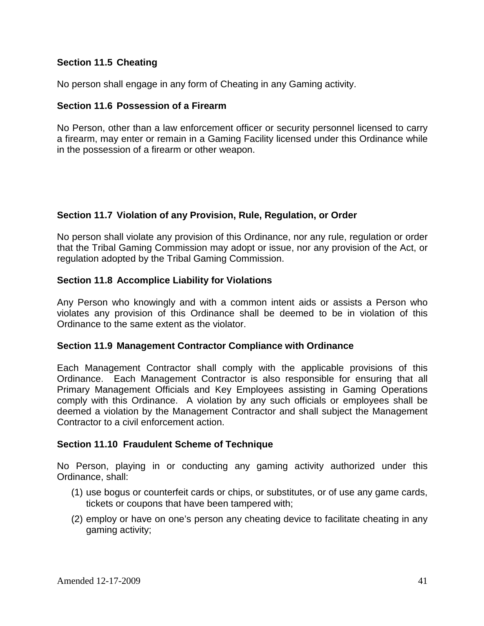# **Section 11.5 Cheating**

No person shall engage in any form of Cheating in any Gaming activity.

#### **Section 11.6 Possession of a Firearm**

No Person, other than a law enforcement officer or security personnel licensed to carry a firearm, may enter or remain in a Gaming Facility licensed under this Ordinance while in the possession of a firearm or other weapon.

# **Section 11.7 Violation of any Provision, Rule, Regulation, or Order**

No person shall violate any provision of this Ordinance, nor any rule, regulation or order that the Tribal Gaming Commission may adopt or issue, nor any provision of the Act, or regulation adopted by the Tribal Gaming Commission.

#### **Section 11.8 Accomplice Liability for Violations**

Any Person who knowingly and with a common intent aids or assists a Person who violates any provision of this Ordinance shall be deemed to be in violation of this Ordinance to the same extent as the violator.

#### **Section 11.9 Management Contractor Compliance with Ordinance**

Each Management Contractor shall comply with the applicable provisions of this Ordinance. Each Management Contractor is also responsible for ensuring that all Primary Management Officials and Key Employees assisting in Gaming Operations comply with this Ordinance. A violation by any such officials or employees shall be deemed a violation by the Management Contractor and shall subject the Management Contractor to a civil enforcement action.

#### **Section 11.10 Fraudulent Scheme of Technique**

No Person, playing in or conducting any gaming activity authorized under this Ordinance, shall:

- (1) use bogus or counterfeit cards or chips, or substitutes, or of use any game cards, tickets or coupons that have been tampered with;
- (2) employ or have on one's person any cheating device to facilitate cheating in any gaming activity;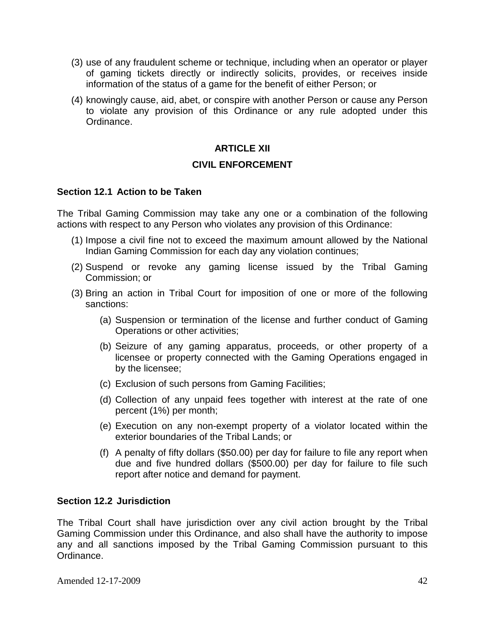- (3) use of any fraudulent scheme or technique, including when an operator or player of gaming tickets directly or indirectly solicits, provides, or receives inside information of the status of a game for the benefit of either Person; or
- (4) knowingly cause, aid, abet, or conspire with another Person or cause any Person to violate any provision of this Ordinance or any rule adopted under this Ordinance.

# **ARTICLE XII**

#### **CIVIL ENFORCEMENT**

#### **Section 12.1 Action to be Taken**

The Tribal Gaming Commission may take any one or a combination of the following actions with respect to any Person who violates any provision of this Ordinance:

- (1) Impose a civil fine not to exceed the maximum amount allowed by the National Indian Gaming Commission for each day any violation continues;
- (2) Suspend or revoke any gaming license issued by the Tribal Gaming Commission; or
- (3) Bring an action in Tribal Court for imposition of one or more of the following sanctions:
	- (a) Suspension or termination of the license and further conduct of Gaming Operations or other activities;
	- (b) Seizure of any gaming apparatus, proceeds, or other property of a licensee or property connected with the Gaming Operations engaged in by the licensee;
	- (c) Exclusion of such persons from Gaming Facilities;
	- (d) Collection of any unpaid fees together with interest at the rate of one percent (1%) per month;
	- (e) Execution on any non-exempt property of a violator located within the exterior boundaries of the Tribal Lands; or
	- (f) A penalty of fifty dollars (\$50.00) per day for failure to file any report when due and five hundred dollars (\$500.00) per day for failure to file such report after notice and demand for payment.

#### **Section 12.2 Jurisdiction**

The Tribal Court shall have jurisdiction over any civil action brought by the Tribal Gaming Commission under this Ordinance, and also shall have the authority to impose any and all sanctions imposed by the Tribal Gaming Commission pursuant to this Ordinance.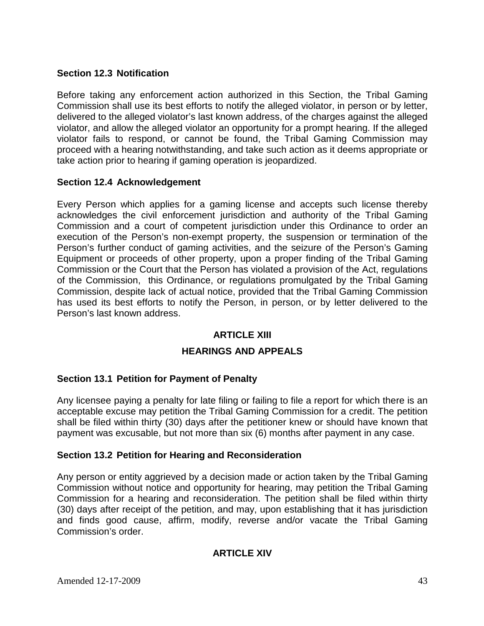# **Section 12.3 Notification**

Before taking any enforcement action authorized in this Section, the Tribal Gaming Commission shall use its best efforts to notify the alleged violator, in person or by letter, delivered to the alleged violator's last known address, of the charges against the alleged violator, and allow the alleged violator an opportunity for a prompt hearing. If the alleged violator fails to respond, or cannot be found, the Tribal Gaming Commission may proceed with a hearing notwithstanding, and take such action as it deems appropriate or take action prior to hearing if gaming operation is jeopardized.

#### **Section 12.4 Acknowledgement**

Every Person which applies for a gaming license and accepts such license thereby acknowledges the civil enforcement jurisdiction and authority of the Tribal Gaming Commission and a court of competent jurisdiction under this Ordinance to order an execution of the Person's non-exempt property, the suspension or termination of the Person's further conduct of gaming activities, and the seizure of the Person's Gaming Equipment or proceeds of other property, upon a proper finding of the Tribal Gaming Commission or the Court that the Person has violated a provision of the Act, regulations of the Commission, this Ordinance, or regulations promulgated by the Tribal Gaming Commission, despite lack of actual notice, provided that the Tribal Gaming Commission has used its best efforts to notify the Person, in person, or by letter delivered to the Person's last known address.

# **ARTICLE XIII**

# **HEARINGS AND APPEALS**

#### **Section 13.1 Petition for Payment of Penalty**

Any licensee paying a penalty for late filing or failing to file a report for which there is an acceptable excuse may petition the Tribal Gaming Commission for a credit. The petition shall be filed within thirty (30) days after the petitioner knew or should have known that payment was excusable, but not more than six (6) months after payment in any case.

#### **Section 13.2 Petition for Hearing and Reconsideration**

Any person or entity aggrieved by a decision made or action taken by the Tribal Gaming Commission without notice and opportunity for hearing, may petition the Tribal Gaming Commission for a hearing and reconsideration. The petition shall be filed within thirty (30) days after receipt of the petition, and may, upon establishing that it has jurisdiction and finds good cause, affirm, modify, reverse and/or vacate the Tribal Gaming Commission's order.

#### **ARTICLE XIV**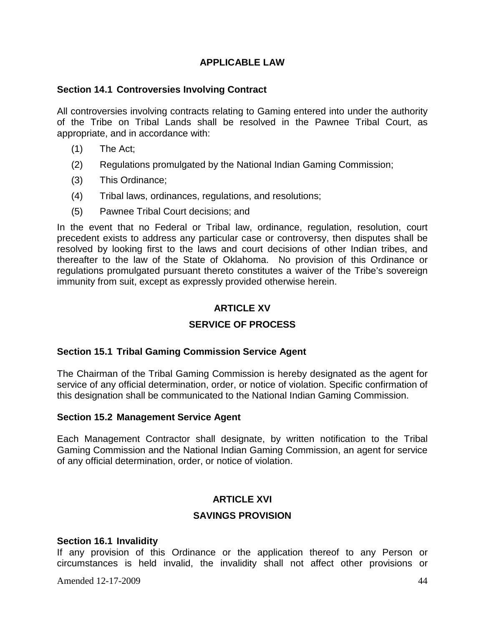# **APPLICABLE LAW**

# **Section 14.1 Controversies Involving Contract**

All controversies involving contracts relating to Gaming entered into under the authority of the Tribe on Tribal Lands shall be resolved in the Pawnee Tribal Court, as appropriate, and in accordance with:

- (1) The Act;
- (2) Regulations promulgated by the National Indian Gaming Commission;
- (3) This Ordinance;
- (4) Tribal laws, ordinances, regulations, and resolutions;
- (5) Pawnee Tribal Court decisions; and

In the event that no Federal or Tribal law, ordinance, regulation, resolution, court precedent exists to address any particular case or controversy, then disputes shall be resolved by looking first to the laws and court decisions of other Indian tribes, and thereafter to the law of the State of Oklahoma. No provision of this Ordinance or regulations promulgated pursuant thereto constitutes a waiver of the Tribe's sovereign immunity from suit, except as expressly provided otherwise herein.

# **ARTICLE XV**

# **SERVICE OF PROCESS**

#### **Section 15.1 Tribal Gaming Commission Service Agent**

The Chairman of the Tribal Gaming Commission is hereby designated as the agent for service of any official determination, order, or notice of violation. Specific confirmation of this designation shall be communicated to the National Indian Gaming Commission.

#### **Section 15.2 Management Service Agent**

Each Management Contractor shall designate, by written notification to the Tribal Gaming Commission and the National Indian Gaming Commission, an agent for service of any official determination, order, or notice of violation.

# **ARTICLE XVI**

# **SAVINGS PROVISION**

#### **Section 16.1 Invalidity**

If any provision of this Ordinance or the application thereof to any Person or circumstances is held invalid, the invalidity shall not affect other provisions or

Amended 12-17-2009 44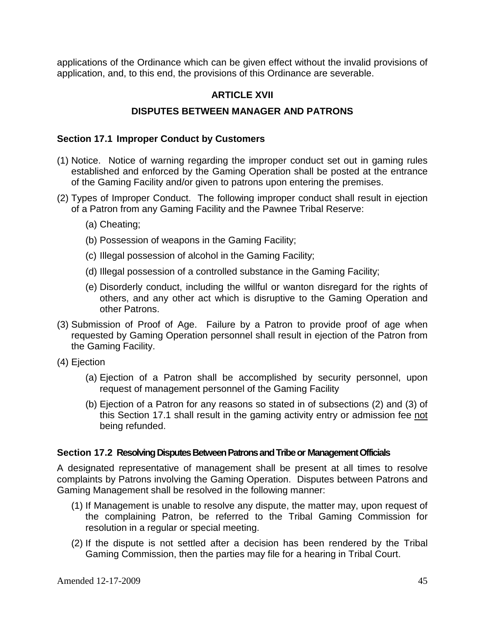applications of the Ordinance which can be given effect without the invalid provisions of application, and, to this end, the provisions of this Ordinance are severable.

# **ARTICLE XVII**

# **DISPUTES BETWEEN MANAGER AND PATRONS**

#### **Section 17.1 Improper Conduct by Customers**

- (1) Notice. Notice of warning regarding the improper conduct set out in gaming rules established and enforced by the Gaming Operation shall be posted at the entrance of the Gaming Facility and/or given to patrons upon entering the premises.
- (2) Types of Improper Conduct. The following improper conduct shall result in ejection of a Patron from any Gaming Facility and the Pawnee Tribal Reserve:
	- (a) Cheating;
	- (b) Possession of weapons in the Gaming Facility;
	- (c) Illegal possession of alcohol in the Gaming Facility;
	- (d) Illegal possession of a controlled substance in the Gaming Facility;
	- (e) Disorderly conduct, including the willful or wanton disregard for the rights of others, and any other act which is disruptive to the Gaming Operation and other Patrons.
- (3) Submission of Proof of Age. Failure by a Patron to provide proof of age when requested by Gaming Operation personnel shall result in ejection of the Patron from the Gaming Facility.
- (4) Ejection
	- (a) Ejection of a Patron shall be accomplished by security personnel, upon request of management personnel of the Gaming Facility
	- (b) Ejection of a Patron for any reasons so stated in of subsections (2) and (3) of this Section 17.1 shall result in the gaming activity entry or admission fee not being refunded.

#### **Section 17.2 Resolving Disputes Between Patrons and Tribe or Management Officials**

A designated representative of management shall be present at all times to resolve complaints by Patrons involving the Gaming Operation. Disputes between Patrons and Gaming Management shall be resolved in the following manner:

- (1) If Management is unable to resolve any dispute, the matter may, upon request of the complaining Patron, be referred to the Tribal Gaming Commission for resolution in a regular or special meeting.
- (2) If the dispute is not settled after a decision has been rendered by the Tribal Gaming Commission, then the parties may file for a hearing in Tribal Court.